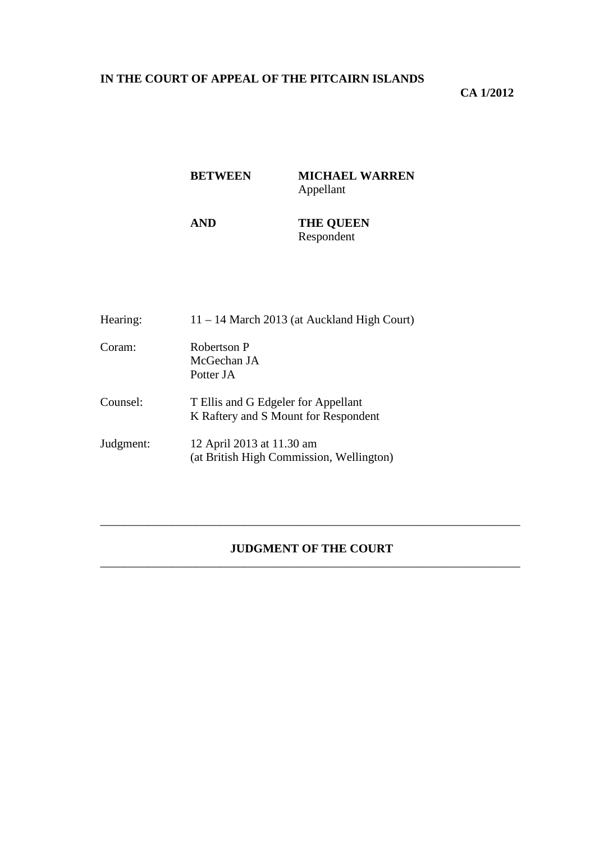# **IN THE COURT OF APPEAL OF THE PITCAIRN ISLANDS**

### **CA 1/2012**

# **BETWEEN MICHAEL WARREN**  Appellant

### **AND THE QUEEN**  Respondent

| Hearing:  | $11 - 14$ March 2013 (at Auckland High Court)                               |
|-----------|-----------------------------------------------------------------------------|
| Coram:    | Robertson P<br>McGechan JA<br>Potter JA                                     |
| Counsel:  | T Ellis and G Edgeler for Appellant<br>K Raftery and S Mount for Respondent |
| Judgment: | 12 April 2013 at 11.30 am<br>(at British High Commission, Wellington)       |

### **JUDGMENT OF THE COURT**  \_\_\_\_\_\_\_\_\_\_\_\_\_\_\_\_\_\_\_\_\_\_\_\_\_\_\_\_\_\_\_\_\_\_\_\_\_\_\_\_\_\_\_\_\_\_\_\_\_\_\_\_\_\_\_\_\_\_\_\_\_\_\_\_\_\_\_\_\_\_

\_\_\_\_\_\_\_\_\_\_\_\_\_\_\_\_\_\_\_\_\_\_\_\_\_\_\_\_\_\_\_\_\_\_\_\_\_\_\_\_\_\_\_\_\_\_\_\_\_\_\_\_\_\_\_\_\_\_\_\_\_\_\_\_\_\_\_\_\_\_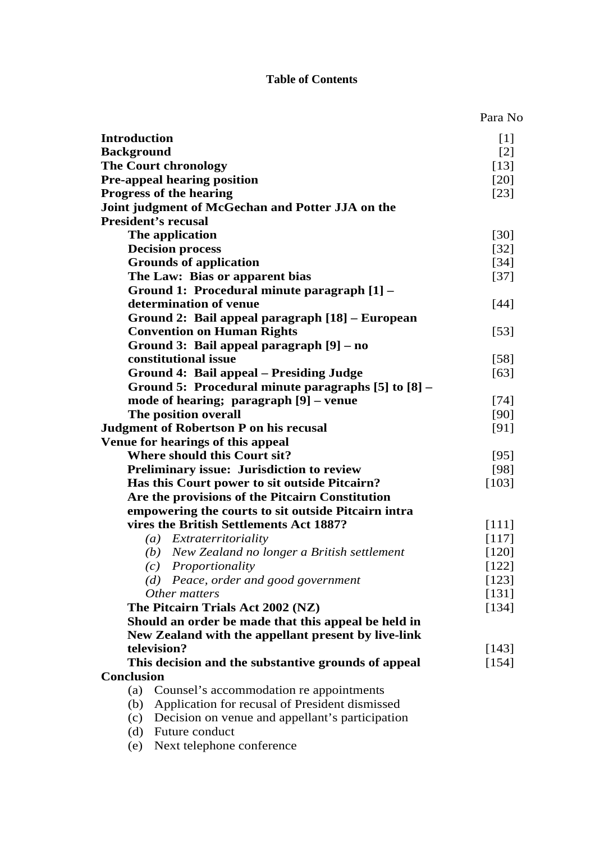# **Table of Contents**

|                                                                                                            | Para No           |
|------------------------------------------------------------------------------------------------------------|-------------------|
| <b>Introduction</b>                                                                                        | $[1]$             |
| <b>Background</b>                                                                                          | $\lceil 2 \rceil$ |
| <b>The Court chronology</b>                                                                                | $[13]$            |
| <b>Pre-appeal hearing position</b>                                                                         | [20]              |
| <b>Progress of the hearing</b>                                                                             | $[23]$            |
| Joint judgment of McGechan and Potter JJA on the                                                           |                   |
| <b>President's recusal</b>                                                                                 |                   |
| The application                                                                                            | $[30]$            |
| <b>Decision process</b>                                                                                    | $[32]$            |
| <b>Grounds of application</b>                                                                              | $[34]$            |
| The Law: Bias or apparent bias                                                                             | $[37]$            |
| Ground 1: Procedural minute paragraph [1] -                                                                |                   |
| determination of venue                                                                                     | $[44]$            |
| Ground 2: Bail appeal paragraph [18] – European                                                            |                   |
| <b>Convention on Human Rights</b>                                                                          | $[53]$            |
| Ground 3: Bail appeal paragraph [9] – no                                                                   |                   |
| constitutional issue                                                                                       | $[58]$            |
| <b>Ground 4: Bail appeal – Presiding Judge</b>                                                             | [63]              |
| Ground 5: Procedural minute paragraphs [5] to [8] –                                                        |                   |
| mode of hearing; paragraph [9] – venue                                                                     | $[74]$            |
| The position overall                                                                                       | [90]              |
| <b>Judgment of Robertson P on his recusal</b>                                                              | [91]              |
| Venue for hearings of this appeal                                                                          |                   |
| <b>Where should this Court sit?</b>                                                                        | $[95]$            |
| <b>Preliminary issue: Jurisdiction to review</b>                                                           | [98]              |
| Has this Court power to sit outside Pitcairn?                                                              | [103]             |
| Are the provisions of the Pitcairn Constitution                                                            |                   |
| empowering the courts to sit outside Pitcairn intra                                                        |                   |
| vires the British Settlements Act 1887?                                                                    | [111]             |
| (a) Extraterritoriality                                                                                    | [117]             |
|                                                                                                            | $[120]$           |
| (b) New Zealand no longer a British settlement<br>(c) Proportionality                                      | $[122]$           |
| (d) Peace, order and good government                                                                       | $[123]$           |
| Other matters                                                                                              |                   |
| The Pitcairn Trials Act 2002 (NZ)                                                                          | $[131]$<br>[134]  |
|                                                                                                            |                   |
| Should an order be made that this appeal be held in<br>New Zealand with the appellant present by live-link |                   |
| television?                                                                                                |                   |
|                                                                                                            | [143]             |
| This decision and the substantive grounds of appeal<br><b>Conclusion</b>                                   | [154]             |
|                                                                                                            |                   |
| (a)<br>Counsel's accommodation re appointments                                                             |                   |
| Application for recusal of President dismissed<br>(b)                                                      |                   |
| Decision on venue and appellant's participation<br>(c)<br>(d) Future conduct                               |                   |
|                                                                                                            |                   |
| (e) Next telephone conference                                                                              |                   |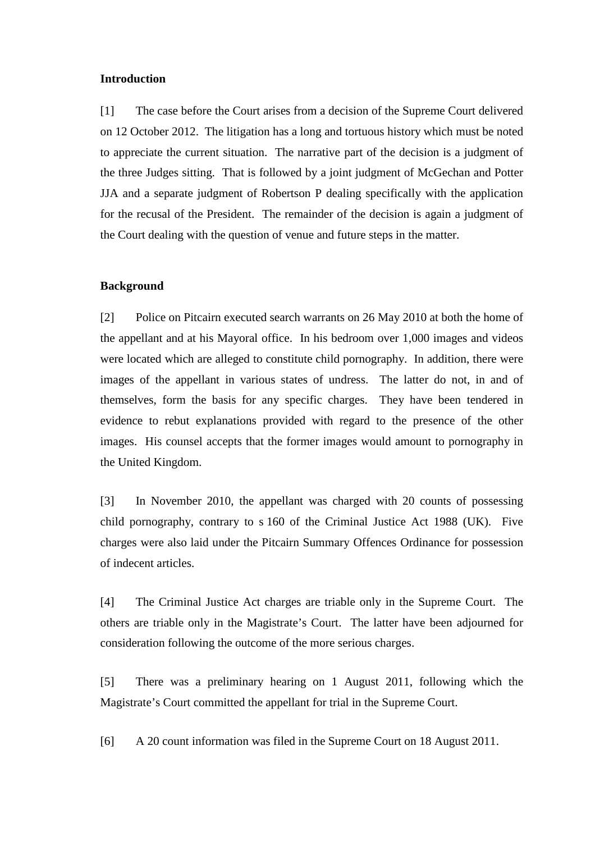#### **Introduction**

[1] The case before the Court arises from a decision of the Supreme Court delivered on 12 October 2012. The litigation has a long and tortuous history which must be noted to appreciate the current situation. The narrative part of the decision is a judgment of the three Judges sitting. That is followed by a joint judgment of McGechan and Potter JJA and a separate judgment of Robertson P dealing specifically with the application for the recusal of the President. The remainder of the decision is again a judgment of the Court dealing with the question of venue and future steps in the matter.

#### **Background**

[2] Police on Pitcairn executed search warrants on 26 May 2010 at both the home of the appellant and at his Mayoral office. In his bedroom over 1,000 images and videos were located which are alleged to constitute child pornography. In addition, there were images of the appellant in various states of undress. The latter do not, in and of themselves, form the basis for any specific charges. They have been tendered in evidence to rebut explanations provided with regard to the presence of the other images. His counsel accepts that the former images would amount to pornography in the United Kingdom.

[3] In November 2010, the appellant was charged with 20 counts of possessing child pornography, contrary to s 160 of the Criminal Justice Act 1988 (UK). Five charges were also laid under the Pitcairn Summary Offences Ordinance for possession of indecent articles.

[4] The Criminal Justice Act charges are triable only in the Supreme Court. The others are triable only in the Magistrate's Court. The latter have been adjourned for consideration following the outcome of the more serious charges.

[5] There was a preliminary hearing on 1 August 2011, following which the Magistrate's Court committed the appellant for trial in the Supreme Court.

[6] A 20 count information was filed in the Supreme Court on 18 August 2011.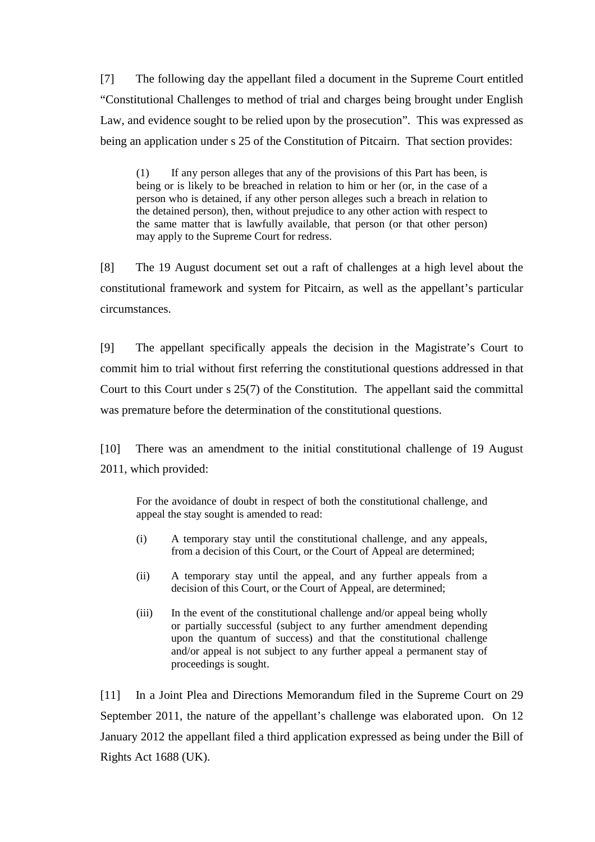[7] The following day the appellant filed a document in the Supreme Court entitled "Constitutional Challenges to method of trial and charges being brought under English Law, and evidence sought to be relied upon by the prosecution". This was expressed as being an application under s 25 of the Constitution of Pitcairn. That section provides:

(1) If any person alleges that any of the provisions of this Part has been, is being or is likely to be breached in relation to him or her (or, in the case of a person who is detained, if any other person alleges such a breach in relation to the detained person), then, without prejudice to any other action with respect to the same matter that is lawfully available, that person (or that other person) may apply to the Supreme Court for redress.

[8] The 19 August document set out a raft of challenges at a high level about the constitutional framework and system for Pitcairn, as well as the appellant's particular circumstances.

[9] The appellant specifically appeals the decision in the Magistrate's Court to commit him to trial without first referring the constitutional questions addressed in that Court to this Court under s 25(7) of the Constitution. The appellant said the committal was premature before the determination of the constitutional questions.

[10] There was an amendment to the initial constitutional challenge of 19 August 2011, which provided:

For the avoidance of doubt in respect of both the constitutional challenge, and appeal the stay sought is amended to read:

- (i) A temporary stay until the constitutional challenge, and any appeals, from a decision of this Court, or the Court of Appeal are determined;
- (ii) A temporary stay until the appeal, and any further appeals from a decision of this Court, or the Court of Appeal, are determined;
- (iii) In the event of the constitutional challenge and/or appeal being wholly or partially successful (subject to any further amendment depending upon the quantum of success) and that the constitutional challenge and/or appeal is not subject to any further appeal a permanent stay of proceedings is sought.

[11] In a Joint Plea and Directions Memorandum filed in the Supreme Court on 29 September 2011, the nature of the appellant's challenge was elaborated upon. On 12 January 2012 the appellant filed a third application expressed as being under the Bill of Rights Act 1688 (UK).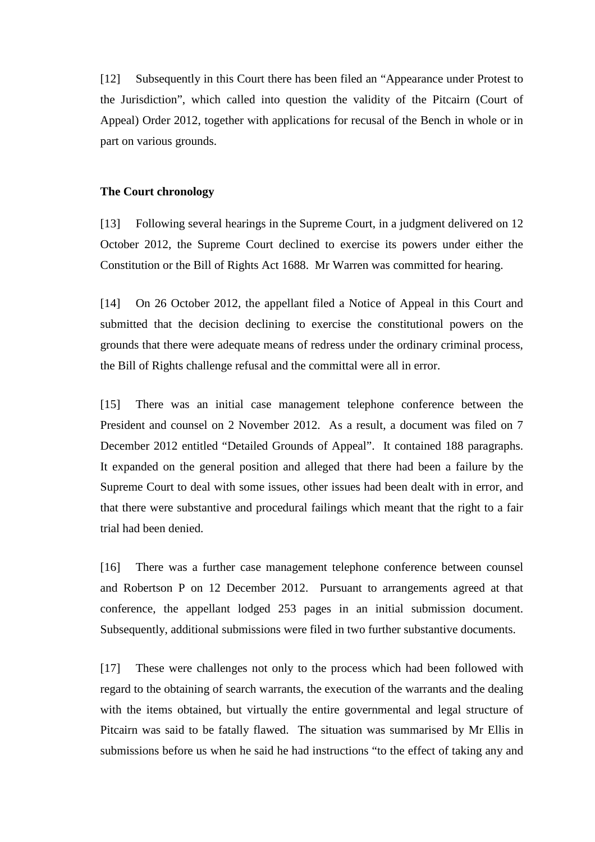[12] Subsequently in this Court there has been filed an "Appearance under Protest to the Jurisdiction", which called into question the validity of the Pitcairn (Court of Appeal) Order 2012, together with applications for recusal of the Bench in whole or in part on various grounds.

#### **The Court chronology**

[13] Following several hearings in the Supreme Court, in a judgment delivered on 12 October 2012, the Supreme Court declined to exercise its powers under either the Constitution or the Bill of Rights Act 1688. Mr Warren was committed for hearing.

[14] On 26 October 2012, the appellant filed a Notice of Appeal in this Court and submitted that the decision declining to exercise the constitutional powers on the grounds that there were adequate means of redress under the ordinary criminal process, the Bill of Rights challenge refusal and the committal were all in error.

[15] There was an initial case management telephone conference between the President and counsel on 2 November 2012. As a result, a document was filed on 7 December 2012 entitled "Detailed Grounds of Appeal". It contained 188 paragraphs. It expanded on the general position and alleged that there had been a failure by the Supreme Court to deal with some issues, other issues had been dealt with in error, and that there were substantive and procedural failings which meant that the right to a fair trial had been denied.

[16] There was a further case management telephone conference between counsel and Robertson P on 12 December 2012. Pursuant to arrangements agreed at that conference, the appellant lodged 253 pages in an initial submission document. Subsequently, additional submissions were filed in two further substantive documents.

[17] These were challenges not only to the process which had been followed with regard to the obtaining of search warrants, the execution of the warrants and the dealing with the items obtained, but virtually the entire governmental and legal structure of Pitcairn was said to be fatally flawed. The situation was summarised by Mr Ellis in submissions before us when he said he had instructions "to the effect of taking any and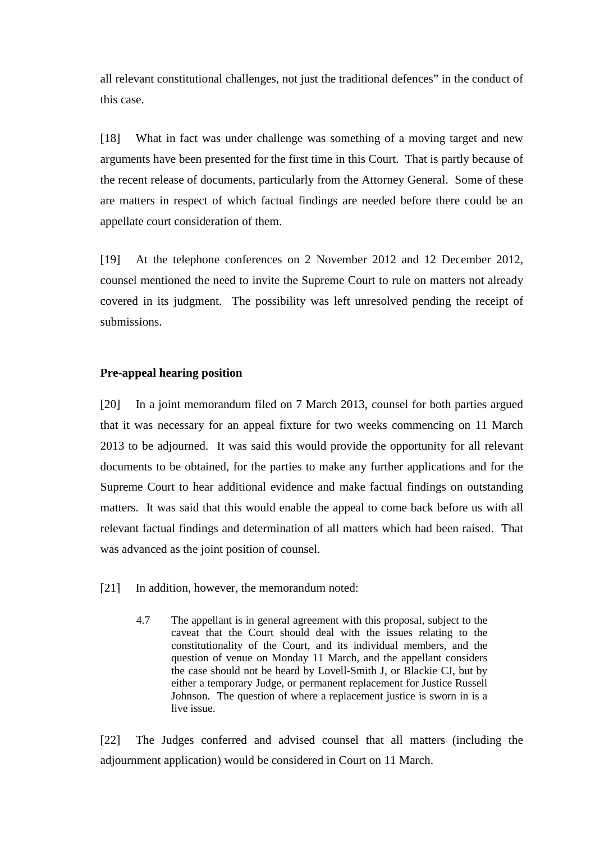all relevant constitutional challenges, not just the traditional defences" in the conduct of this case.

[18] What in fact was under challenge was something of a moving target and new arguments have been presented for the first time in this Court. That is partly because of the recent release of documents, particularly from the Attorney General. Some of these are matters in respect of which factual findings are needed before there could be an appellate court consideration of them.

[19] At the telephone conferences on 2 November 2012 and 12 December 2012, counsel mentioned the need to invite the Supreme Court to rule on matters not already covered in its judgment. The possibility was left unresolved pending the receipt of submissions.

### **Pre-appeal hearing position**

[20] In a joint memorandum filed on 7 March 2013, counsel for both parties argued that it was necessary for an appeal fixture for two weeks commencing on 11 March 2013 to be adjourned. It was said this would provide the opportunity for all relevant documents to be obtained, for the parties to make any further applications and for the Supreme Court to hear additional evidence and make factual findings on outstanding matters. It was said that this would enable the appeal to come back before us with all relevant factual findings and determination of all matters which had been raised. That was advanced as the joint position of counsel.

- [21] In addition, however, the memorandum noted:
	- 4.7 The appellant is in general agreement with this proposal, subject to the caveat that the Court should deal with the issues relating to the constitutionality of the Court, and its individual members, and the question of venue on Monday 11 March, and the appellant considers the case should not be heard by Lovell-Smith J, or Blackie CJ, but by either a temporary Judge, or permanent replacement for Justice Russell Johnson. The question of where a replacement justice is sworn in is a live issue.

[22] The Judges conferred and advised counsel that all matters (including the adjournment application) would be considered in Court on 11 March.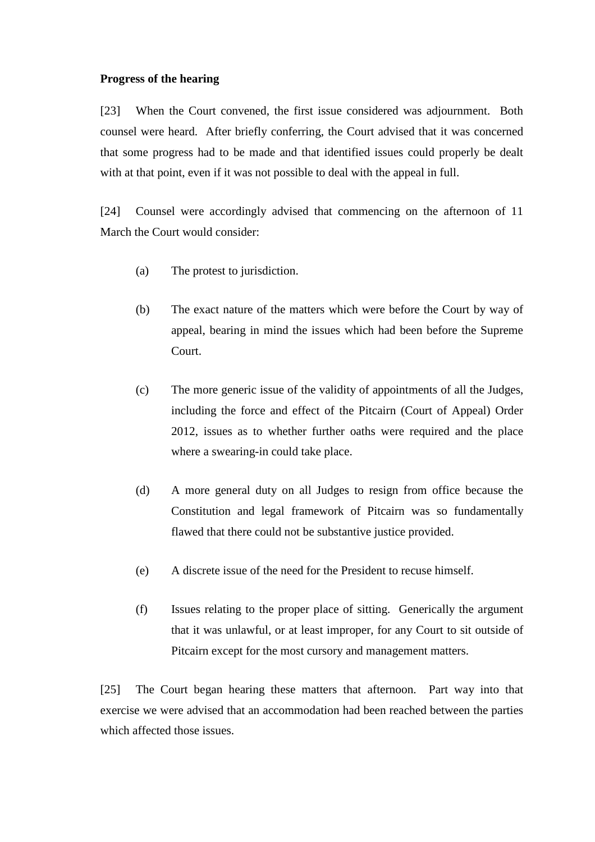#### **Progress of the hearing**

[23] When the Court convened, the first issue considered was adjournment. Both counsel were heard. After briefly conferring, the Court advised that it was concerned that some progress had to be made and that identified issues could properly be dealt with at that point, even if it was not possible to deal with the appeal in full.

[24] Counsel were accordingly advised that commencing on the afternoon of 11 March the Court would consider:

- (a) The protest to jurisdiction.
- (b) The exact nature of the matters which were before the Court by way of appeal, bearing in mind the issues which had been before the Supreme Court.
- (c) The more generic issue of the validity of appointments of all the Judges, including the force and effect of the Pitcairn (Court of Appeal) Order 2012, issues as to whether further oaths were required and the place where a swearing-in could take place.
- (d) A more general duty on all Judges to resign from office because the Constitution and legal framework of Pitcairn was so fundamentally flawed that there could not be substantive justice provided.
- (e) A discrete issue of the need for the President to recuse himself.
- (f) Issues relating to the proper place of sitting. Generically the argument that it was unlawful, or at least improper, for any Court to sit outside of Pitcairn except for the most cursory and management matters.

[25] The Court began hearing these matters that afternoon. Part way into that exercise we were advised that an accommodation had been reached between the parties which affected those issues.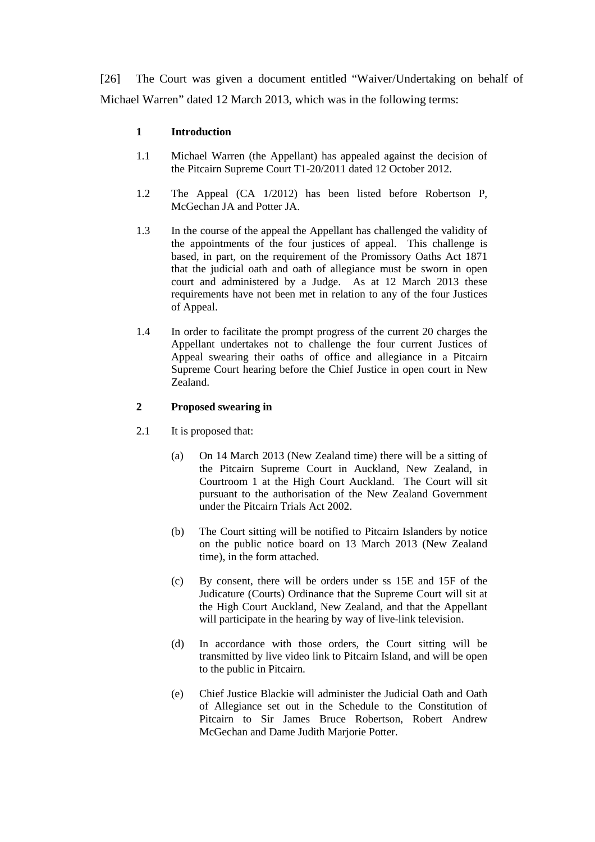[26] The Court was given a document entitled "Waiver/Undertaking on behalf of Michael Warren" dated 12 March 2013, which was in the following terms:

### **1 Introduction**

- 1.1 Michael Warren (the Appellant) has appealed against the decision of the Pitcairn Supreme Court T1-20/2011 dated 12 October 2012.
- 1.2 The Appeal (CA 1/2012) has been listed before Robertson P, McGechan JA and Potter JA.
- 1.3 In the course of the appeal the Appellant has challenged the validity of the appointments of the four justices of appeal. This challenge is based, in part, on the requirement of the Promissory Oaths Act 1871 that the judicial oath and oath of allegiance must be sworn in open court and administered by a Judge. As at 12 March 2013 these requirements have not been met in relation to any of the four Justices of Appeal.
- 1.4 In order to facilitate the prompt progress of the current 20 charges the Appellant undertakes not to challenge the four current Justices of Appeal swearing their oaths of office and allegiance in a Pitcairn Supreme Court hearing before the Chief Justice in open court in New Zealand.

### **2 Proposed swearing in**

- 2.1 It is proposed that:
	- (a) On 14 March 2013 (New Zealand time) there will be a sitting of the Pitcairn Supreme Court in Auckland, New Zealand, in Courtroom 1 at the High Court Auckland. The Court will sit pursuant to the authorisation of the New Zealand Government under the Pitcairn Trials Act 2002.
	- (b) The Court sitting will be notified to Pitcairn Islanders by notice on the public notice board on 13 March 2013 (New Zealand time), in the form attached.
	- (c) By consent, there will be orders under ss 15E and 15F of the Judicature (Courts) Ordinance that the Supreme Court will sit at the High Court Auckland, New Zealand, and that the Appellant will participate in the hearing by way of live-link television.
	- (d) In accordance with those orders, the Court sitting will be transmitted by live video link to Pitcairn Island, and will be open to the public in Pitcairn.
	- (e) Chief Justice Blackie will administer the Judicial Oath and Oath of Allegiance set out in the Schedule to the Constitution of Pitcairn to Sir James Bruce Robertson, Robert Andrew McGechan and Dame Judith Marjorie Potter.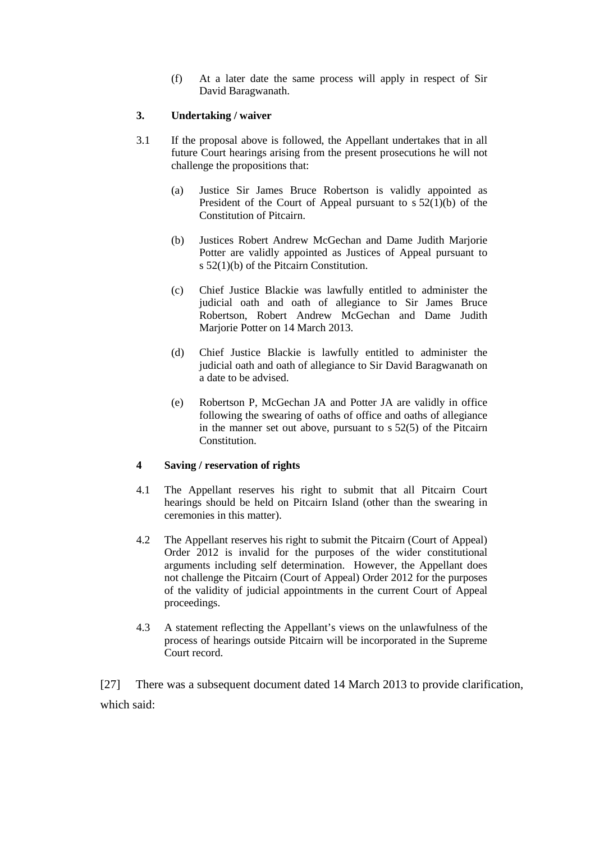(f) At a later date the same process will apply in respect of Sir David Baragwanath.

#### **3. Undertaking / waiver**

- 3.1 If the proposal above is followed, the Appellant undertakes that in all future Court hearings arising from the present prosecutions he will not challenge the propositions that:
	- (a) Justice Sir James Bruce Robertson is validly appointed as President of the Court of Appeal pursuant to  $s 52(1)(b)$  of the Constitution of Pitcairn.
	- (b) Justices Robert Andrew McGechan and Dame Judith Marjorie Potter are validly appointed as Justices of Appeal pursuant to s 52(1)(b) of the Pitcairn Constitution.
	- (c) Chief Justice Blackie was lawfully entitled to administer the judicial oath and oath of allegiance to Sir James Bruce Robertson, Robert Andrew McGechan and Dame Judith Mariorie Potter on 14 March 2013.
	- (d) Chief Justice Blackie is lawfully entitled to administer the judicial oath and oath of allegiance to Sir David Baragwanath on a date to be advised.
	- (e) Robertson P, McGechan JA and Potter JA are validly in office following the swearing of oaths of office and oaths of allegiance in the manner set out above, pursuant to s 52(5) of the Pitcairn Constitution.

### **4 Saving / reservation of rights**

- 4.1 The Appellant reserves his right to submit that all Pitcairn Court hearings should be held on Pitcairn Island (other than the swearing in ceremonies in this matter).
- 4.2 The Appellant reserves his right to submit the Pitcairn (Court of Appeal) Order 2012 is invalid for the purposes of the wider constitutional arguments including self determination. However, the Appellant does not challenge the Pitcairn (Court of Appeal) Order 2012 for the purposes of the validity of judicial appointments in the current Court of Appeal proceedings.
- 4.3 A statement reflecting the Appellant's views on the unlawfulness of the process of hearings outside Pitcairn will be incorporated in the Supreme Court record.

[27] There was a subsequent document dated 14 March 2013 to provide clarification, which said: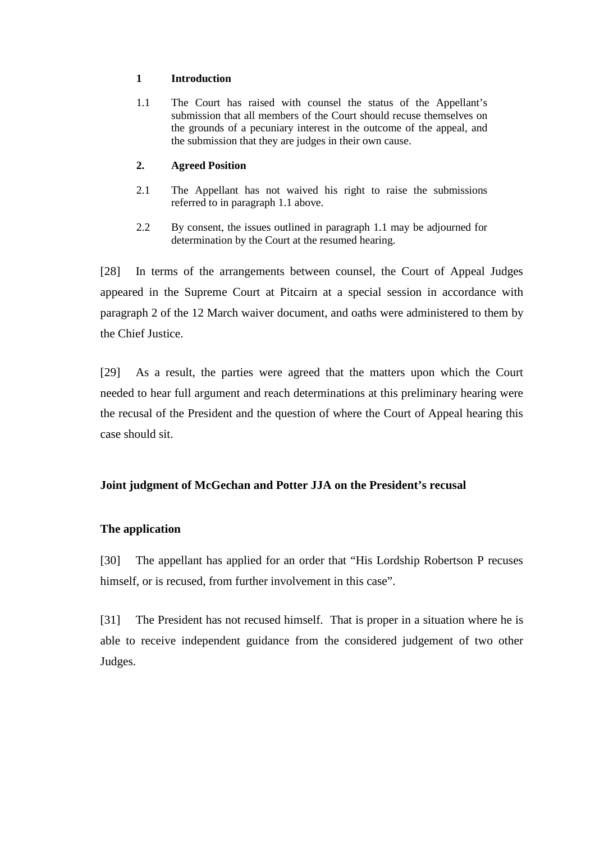#### **1 Introduction**

1.1 The Court has raised with counsel the status of the Appellant's submission that all members of the Court should recuse themselves on the grounds of a pecuniary interest in the outcome of the appeal, and the submission that they are judges in their own cause.

### **2. Agreed Position**

- 2.1 The Appellant has not waived his right to raise the submissions referred to in paragraph 1.1 above.
- 2.2 By consent, the issues outlined in paragraph 1.1 may be adjourned for determination by the Court at the resumed hearing.

[28] In terms of the arrangements between counsel, the Court of Appeal Judges appeared in the Supreme Court at Pitcairn at a special session in accordance with paragraph 2 of the 12 March waiver document, and oaths were administered to them by the Chief Justice.

[29] As a result, the parties were agreed that the matters upon which the Court needed to hear full argument and reach determinations at this preliminary hearing were the recusal of the President and the question of where the Court of Appeal hearing this case should sit.

# **Joint judgment of McGechan and Potter JJA on the President's recusal**

# **The application**

[30] The appellant has applied for an order that "His Lordship Robertson P recuses himself, or is recused, from further involvement in this case".

[31] The President has not recused himself. That is proper in a situation where he is able to receive independent guidance from the considered judgement of two other Judges.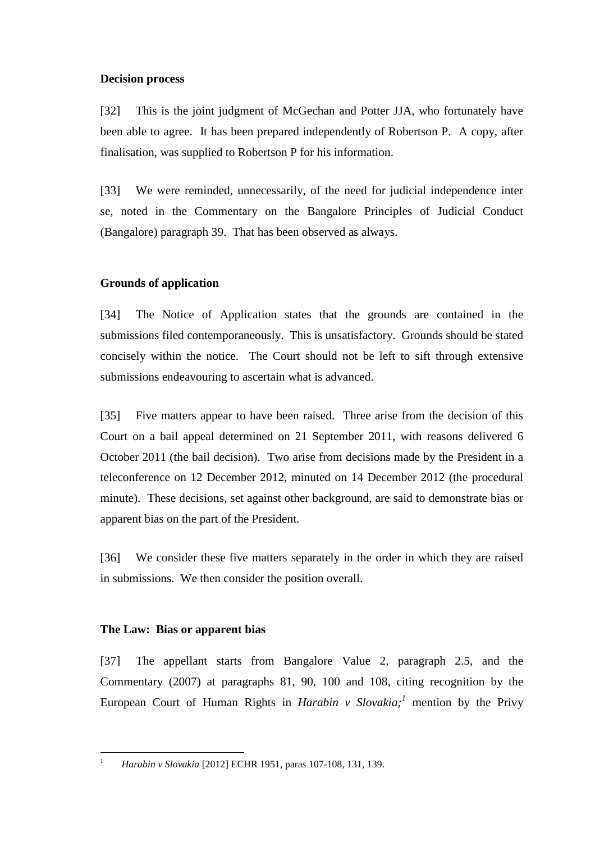### **Decision process**

[32] This is the joint judgment of McGechan and Potter JJA, who fortunately have been able to agree. It has been prepared independently of Robertson P. A copy, after finalisation, was supplied to Robertson P for his information.

[33] We were reminded, unnecessarily, of the need for judicial independence inter se, noted in the Commentary on the Bangalore Principles of Judicial Conduct (Bangalore) paragraph 39. That has been observed as always.

# **Grounds of application**

[34] The Notice of Application states that the grounds are contained in the submissions filed contemporaneously. This is unsatisfactory. Grounds should be stated concisely within the notice. The Court should not be left to sift through extensive submissions endeavouring to ascertain what is advanced.

[35] Five matters appear to have been raised. Three arise from the decision of this Court on a bail appeal determined on 21 September 2011, with reasons delivered 6 October 2011 (the bail decision). Two arise from decisions made by the President in a teleconference on 12 December 2012, minuted on 14 December 2012 (the procedural minute). These decisions, set against other background, are said to demonstrate bias or apparent bias on the part of the President.

[36] We consider these five matters separately in the order in which they are raised in submissions. We then consider the position overall.

# **The Law: Bias or apparent bias**

[37] The appellant starts from Bangalore Value 2, paragraph 2.5, and the Commentary (2007) at paragraphs 81, 90, 100 and 108, citing recognition by the European Court of Human Rights in *Harabin v Slovakia;<sup>1</sup>* mention by the Privy

 $\overline{a}$ 1

*Harabin v Slovakia* [2012] ECHR 1951, paras 107-108, 131, 139.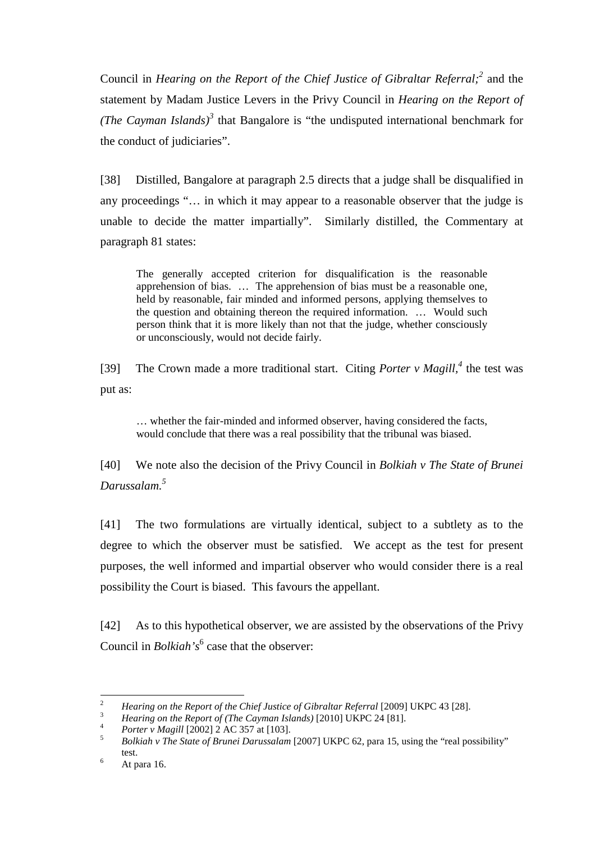Council in *Hearing on the Report of the Chief Justice of Gibraltar Referral;<sup>2</sup>* and the statement by Madam Justice Levers in the Privy Council in *Hearing on the Report of (The Cayman Islands)*<sup>3</sup> that Bangalore is "the undisputed international benchmark for the conduct of judiciaries".

[38] Distilled, Bangalore at paragraph 2.5 directs that a judge shall be disqualified in any proceedings "… in which it may appear to a reasonable observer that the judge is unable to decide the matter impartially". Similarly distilled, the Commentary at paragraph 81 states:

The generally accepted criterion for disqualification is the reasonable apprehension of bias. … The apprehension of bias must be a reasonable one, held by reasonable, fair minded and informed persons, applying themselves to the question and obtaining thereon the required information. … Would such person think that it is more likely than not that the judge, whether consciously or unconsciously, would not decide fairly.

[39] The Crown made a more traditional start. Citing *Porter v Magill*,<sup>4</sup> the test was put as:

… whether the fair-minded and informed observer, having considered the facts, would conclude that there was a real possibility that the tribunal was biased.

[40] We note also the decision of the Privy Council in *Bolkiah v The State of Brunei Darussalam.<sup>5</sup>*

[41] The two formulations are virtually identical, subject to a subtlety as to the degree to which the observer must be satisfied. We accept as the test for present purposes, the well informed and impartial observer who would consider there is a real possibility the Court is biased. This favours the appellant.

[42] As to this hypothetical observer, we are assisted by the observations of the Privy Council in *Bolkiah's*<sup>6</sup> case that the observer:

<sup>&</sup>lt;sup>2</sup> *Hearing on the Report of the Chief Justice of Gibraltar Referral* [2009] UKPC 43 [28].

<sup>3</sup> *Hearing on the Report of (The Cayman Islands)* [2010] UKPC 24 [81].

<sup>4</sup> *Porter v Magill* [2002] 2 AC 357 at [103].

<sup>5</sup> *Bolkiah v The State of Brunei Darussalam* [2007] UKPC 62, para 15, using the "real possibility" test.

<sup>6</sup> At para 16.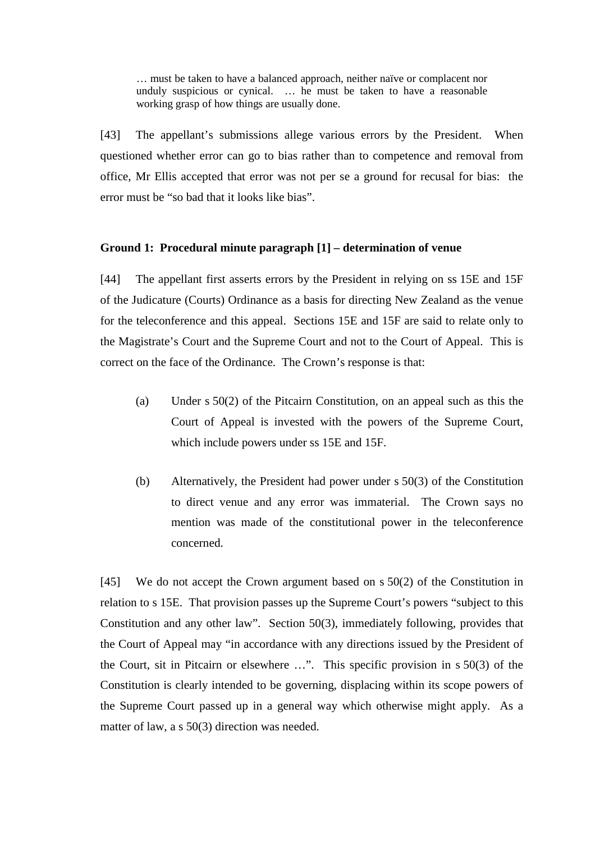… must be taken to have a balanced approach, neither naïve or complacent nor unduly suspicious or cynical. … he must be taken to have a reasonable working grasp of how things are usually done.

[43] The appellant's submissions allege various errors by the President. When questioned whether error can go to bias rather than to competence and removal from office, Mr Ellis accepted that error was not per se a ground for recusal for bias: the error must be "so bad that it looks like bias".

#### **Ground 1: Procedural minute paragraph [1] – determination of venue**

[44] The appellant first asserts errors by the President in relying on ss 15E and 15F of the Judicature (Courts) Ordinance as a basis for directing New Zealand as the venue for the teleconference and this appeal. Sections 15E and 15F are said to relate only to the Magistrate's Court and the Supreme Court and not to the Court of Appeal. This is correct on the face of the Ordinance. The Crown's response is that:

- (a) Under s 50(2) of the Pitcairn Constitution, on an appeal such as this the Court of Appeal is invested with the powers of the Supreme Court, which include powers under ss 15E and 15F.
- (b) Alternatively, the President had power under s 50(3) of the Constitution to direct venue and any error was immaterial. The Crown says no mention was made of the constitutional power in the teleconference concerned.

[45] We do not accept the Crown argument based on s 50(2) of the Constitution in relation to s 15E. That provision passes up the Supreme Court's powers "subject to this Constitution and any other law". Section 50(3), immediately following, provides that the Court of Appeal may "in accordance with any directions issued by the President of the Court, sit in Pitcairn or elsewhere …". This specific provision in s 50(3) of the Constitution is clearly intended to be governing, displacing within its scope powers of the Supreme Court passed up in a general way which otherwise might apply. As a matter of law, a s 50(3) direction was needed.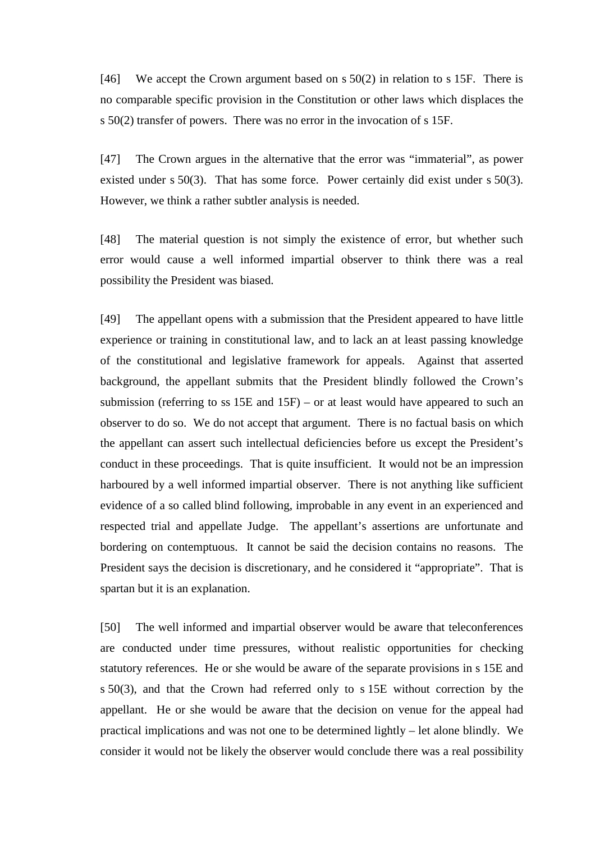[46] We accept the Crown argument based on s 50(2) in relation to s 15F. There is no comparable specific provision in the Constitution or other laws which displaces the s 50(2) transfer of powers. There was no error in the invocation of s 15F.

[47] The Crown argues in the alternative that the error was "immaterial", as power existed under s 50(3). That has some force. Power certainly did exist under s 50(3). However, we think a rather subtler analysis is needed.

[48] The material question is not simply the existence of error, but whether such error would cause a well informed impartial observer to think there was a real possibility the President was biased.

[49] The appellant opens with a submission that the President appeared to have little experience or training in constitutional law, and to lack an at least passing knowledge of the constitutional and legislative framework for appeals. Against that asserted background, the appellant submits that the President blindly followed the Crown's submission (referring to ss 15E and 15F) – or at least would have appeared to such an observer to do so. We do not accept that argument. There is no factual basis on which the appellant can assert such intellectual deficiencies before us except the President's conduct in these proceedings. That is quite insufficient. It would not be an impression harboured by a well informed impartial observer. There is not anything like sufficient evidence of a so called blind following, improbable in any event in an experienced and respected trial and appellate Judge. The appellant's assertions are unfortunate and bordering on contemptuous. It cannot be said the decision contains no reasons. The President says the decision is discretionary, and he considered it "appropriate". That is spartan but it is an explanation.

[50] The well informed and impartial observer would be aware that teleconferences are conducted under time pressures, without realistic opportunities for checking statutory references. He or she would be aware of the separate provisions in s 15E and s 50(3), and that the Crown had referred only to s 15E without correction by the appellant. He or she would be aware that the decision on venue for the appeal had practical implications and was not one to be determined lightly – let alone blindly. We consider it would not be likely the observer would conclude there was a real possibility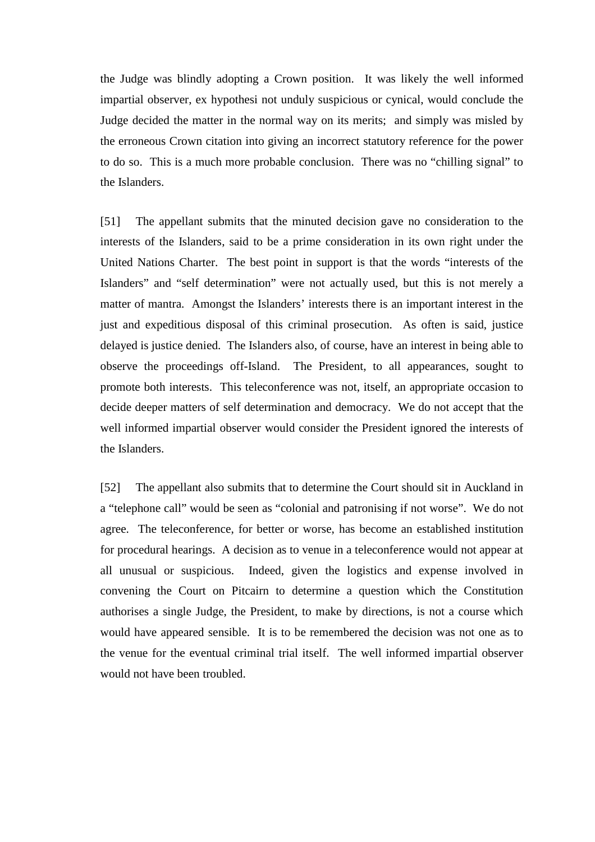the Judge was blindly adopting a Crown position. It was likely the well informed impartial observer, ex hypothesi not unduly suspicious or cynical, would conclude the Judge decided the matter in the normal way on its merits; and simply was misled by the erroneous Crown citation into giving an incorrect statutory reference for the power to do so. This is a much more probable conclusion. There was no "chilling signal" to the Islanders.

[51] The appellant submits that the minuted decision gave no consideration to the interests of the Islanders, said to be a prime consideration in its own right under the United Nations Charter. The best point in support is that the words "interests of the Islanders" and "self determination" were not actually used, but this is not merely a matter of mantra. Amongst the Islanders' interests there is an important interest in the just and expeditious disposal of this criminal prosecution. As often is said, justice delayed is justice denied. The Islanders also, of course, have an interest in being able to observe the proceedings off-Island. The President, to all appearances, sought to promote both interests. This teleconference was not, itself, an appropriate occasion to decide deeper matters of self determination and democracy. We do not accept that the well informed impartial observer would consider the President ignored the interests of the Islanders.

[52] The appellant also submits that to determine the Court should sit in Auckland in a "telephone call" would be seen as "colonial and patronising if not worse". We do not agree. The teleconference, for better or worse, has become an established institution for procedural hearings. A decision as to venue in a teleconference would not appear at all unusual or suspicious. Indeed, given the logistics and expense involved in convening the Court on Pitcairn to determine a question which the Constitution authorises a single Judge, the President, to make by directions, is not a course which would have appeared sensible. It is to be remembered the decision was not one as to the venue for the eventual criminal trial itself. The well informed impartial observer would not have been troubled.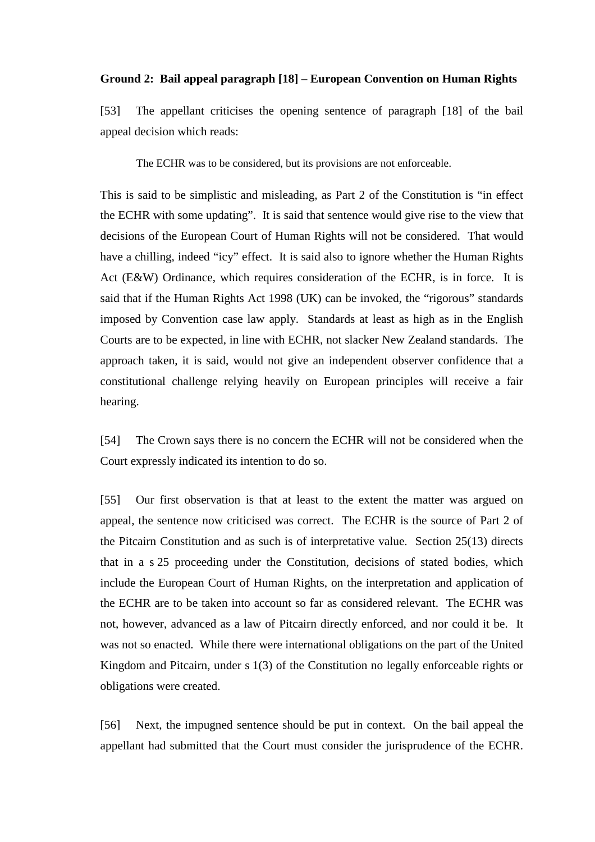#### **Ground 2: Bail appeal paragraph [18] – European Convention on Human Rights**

[53] The appellant criticises the opening sentence of paragraph [18] of the bail appeal decision which reads:

The ECHR was to be considered, but its provisions are not enforceable.

This is said to be simplistic and misleading, as Part 2 of the Constitution is "in effect the ECHR with some updating". It is said that sentence would give rise to the view that decisions of the European Court of Human Rights will not be considered. That would have a chilling, indeed "icy" effect. It is said also to ignore whether the Human Rights Act (E&W) Ordinance, which requires consideration of the ECHR, is in force. It is said that if the Human Rights Act 1998 (UK) can be invoked, the "rigorous" standards imposed by Convention case law apply. Standards at least as high as in the English Courts are to be expected, in line with ECHR, not slacker New Zealand standards. The approach taken, it is said, would not give an independent observer confidence that a constitutional challenge relying heavily on European principles will receive a fair hearing.

[54] The Crown says there is no concern the ECHR will not be considered when the Court expressly indicated its intention to do so.

[55] Our first observation is that at least to the extent the matter was argued on appeal, the sentence now criticised was correct. The ECHR is the source of Part 2 of the Pitcairn Constitution and as such is of interpretative value. Section 25(13) directs that in a s 25 proceeding under the Constitution, decisions of stated bodies, which include the European Court of Human Rights, on the interpretation and application of the ECHR are to be taken into account so far as considered relevant. The ECHR was not, however, advanced as a law of Pitcairn directly enforced, and nor could it be. It was not so enacted. While there were international obligations on the part of the United Kingdom and Pitcairn, under s 1(3) of the Constitution no legally enforceable rights or obligations were created.

[56] Next, the impugned sentence should be put in context. On the bail appeal the appellant had submitted that the Court must consider the jurisprudence of the ECHR.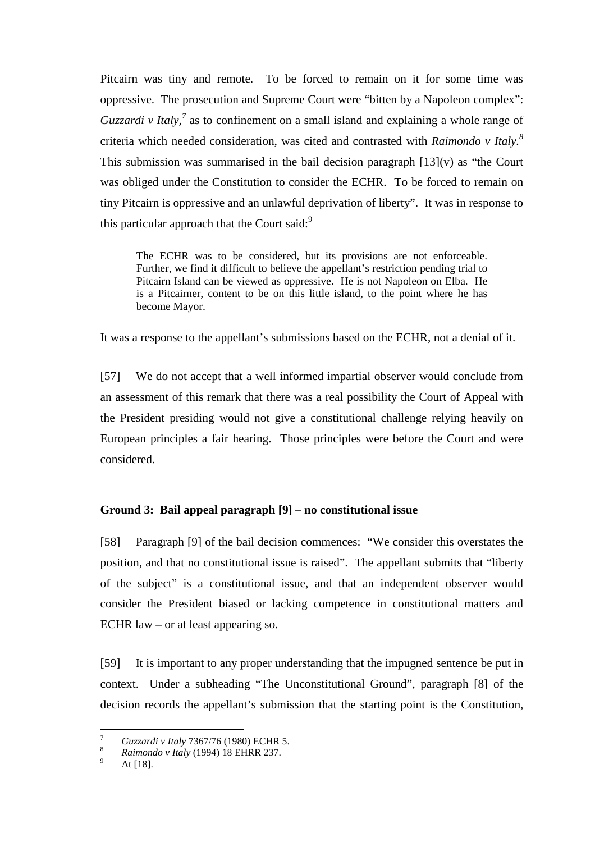Pitcairn was tiny and remote. To be forced to remain on it for some time was oppressive. The prosecution and Supreme Court were "bitten by a Napoleon complex": *Guzzardi v Italy*,<sup>7</sup> as to confinement on a small island and explaining a whole range of criteria which needed consideration, was cited and contrasted with *Raimondo v Italy.<sup>8</sup>* This submission was summarised in the bail decision paragraph  $[13](v)$  as "the Court was obliged under the Constitution to consider the ECHR. To be forced to remain on tiny Pitcairn is oppressive and an unlawful deprivation of liberty". It was in response to this particular approach that the Court said: $9$ 

The ECHR was to be considered, but its provisions are not enforceable. Further, we find it difficult to believe the appellant's restriction pending trial to Pitcairn Island can be viewed as oppressive. He is not Napoleon on Elba. He is a Pitcairner, content to be on this little island, to the point where he has become Mayor.

It was a response to the appellant's submissions based on the ECHR, not a denial of it.

[57] We do not accept that a well informed impartial observer would conclude from an assessment of this remark that there was a real possibility the Court of Appeal with the President presiding would not give a constitutional challenge relying heavily on European principles a fair hearing. Those principles were before the Court and were considered.

# **Ground 3: Bail appeal paragraph [9] – no constitutional issue**

[58] Paragraph [9] of the bail decision commences: "We consider this overstates the position, and that no constitutional issue is raised". The appellant submits that "liberty of the subject" is a constitutional issue, and that an independent observer would consider the President biased or lacking competence in constitutional matters and ECHR law – or at least appearing so.

[59] It is important to any proper understanding that the impugned sentence be put in context. Under a subheading "The Unconstitutional Ground", paragraph [8] of the decision records the appellant's submission that the starting point is the Constitution,

 $\overline{a}$ 

<sup>7</sup> *Guzzardi v Italy* 7367/76 (1980) ECHR 5.

<sup>8</sup> *Raimondo v Italy* (1994) 18 EHRR 237.

<sup>9</sup> At [18].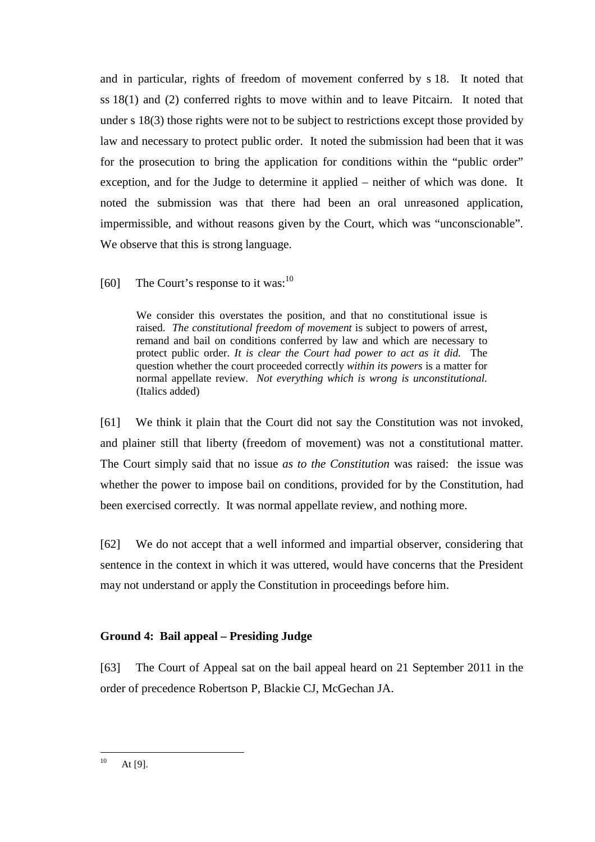and in particular, rights of freedom of movement conferred by s 18. It noted that ss 18(1) and (2) conferred rights to move within and to leave Pitcairn. It noted that under s 18(3) those rights were not to be subject to restrictions except those provided by law and necessary to protect public order. It noted the submission had been that it was for the prosecution to bring the application for conditions within the "public order" exception, and for the Judge to determine it applied – neither of which was done. It noted the submission was that there had been an oral unreasoned application, impermissible, and without reasons given by the Court, which was "unconscionable". We observe that this is strong language.

[60] The Court's response to it was: $^{10}$ 

We consider this overstates the position, and that no constitutional issue is raised. *The constitutional freedom of movement* is subject to powers of arrest, remand and bail on conditions conferred by law and which are necessary to protect public order. *It is clear the Court had power to act as it did.* The question whether the court proceeded correctly *within its powers* is a matter for normal appellate review. *Not everything which is wrong is unconstitutional.* (Italics added)

[61] We think it plain that the Court did not say the Constitution was not invoked, and plainer still that liberty (freedom of movement) was not a constitutional matter. The Court simply said that no issue *as to the Constitution* was raised: the issue was whether the power to impose bail on conditions, provided for by the Constitution, had been exercised correctly. It was normal appellate review, and nothing more.

[62] We do not accept that a well informed and impartial observer, considering that sentence in the context in which it was uttered, would have concerns that the President may not understand or apply the Constitution in proceedings before him.

# **Ground 4: Bail appeal – Presiding Judge**

[63] The Court of Appeal sat on the bail appeal heard on 21 September 2011 in the order of precedence Robertson P, Blackie CJ, McGechan JA.

 $10$ At  $[9]$ .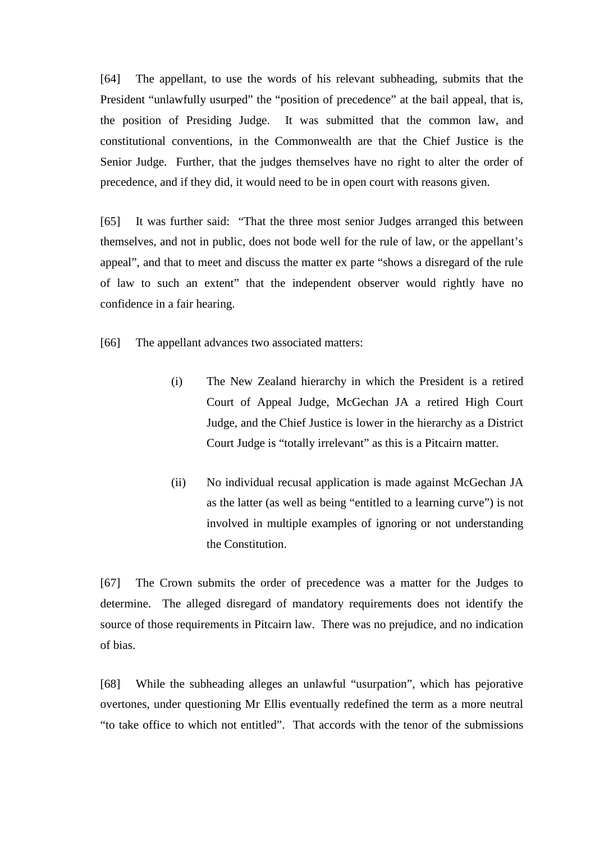[64] The appellant, to use the words of his relevant subheading, submits that the President "unlawfully usurped" the "position of precedence" at the bail appeal, that is, the position of Presiding Judge. It was submitted that the common law, and constitutional conventions, in the Commonwealth are that the Chief Justice is the Senior Judge. Further, that the judges themselves have no right to alter the order of precedence, and if they did, it would need to be in open court with reasons given.

[65] It was further said: "That the three most senior Judges arranged this between themselves, and not in public, does not bode well for the rule of law, or the appellant's appeal", and that to meet and discuss the matter ex parte "shows a disregard of the rule of law to such an extent" that the independent observer would rightly have no confidence in a fair hearing.

[66] The appellant advances two associated matters:

- (i) The New Zealand hierarchy in which the President is a retired Court of Appeal Judge, McGechan JA a retired High Court Judge, and the Chief Justice is lower in the hierarchy as a District Court Judge is "totally irrelevant" as this is a Pitcairn matter.
- (ii) No individual recusal application is made against McGechan JA as the latter (as well as being "entitled to a learning curve") is not involved in multiple examples of ignoring or not understanding the Constitution.

[67] The Crown submits the order of precedence was a matter for the Judges to determine. The alleged disregard of mandatory requirements does not identify the source of those requirements in Pitcairn law. There was no prejudice, and no indication of bias.

[68] While the subheading alleges an unlawful "usurpation", which has pejorative overtones, under questioning Mr Ellis eventually redefined the term as a more neutral "to take office to which not entitled". That accords with the tenor of the submissions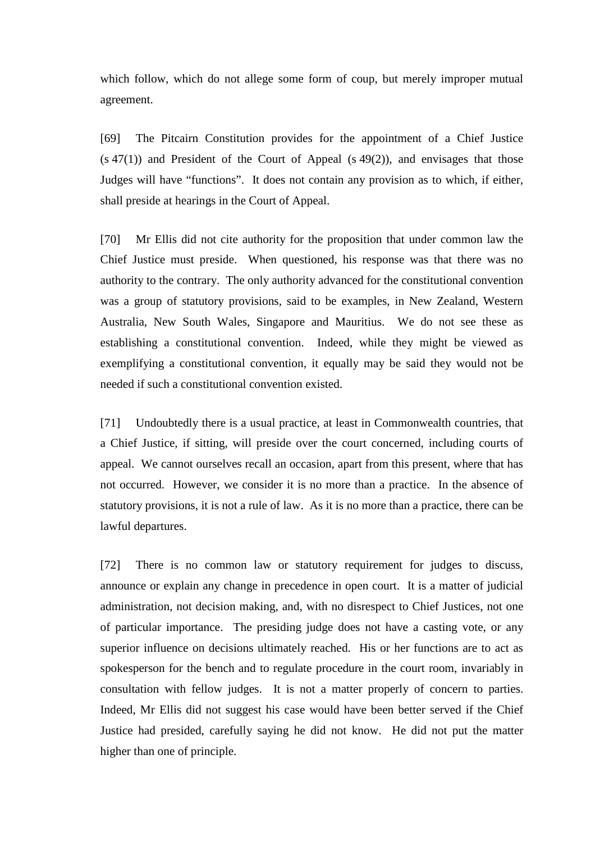which follow, which do not allege some form of coup, but merely improper mutual agreement.

[69] The Pitcairn Constitution provides for the appointment of a Chief Justice  $(s 47(1))$  and President of the Court of Appeal  $(s 49(2))$ , and envisages that those Judges will have "functions". It does not contain any provision as to which, if either, shall preside at hearings in the Court of Appeal.

[70] Mr Ellis did not cite authority for the proposition that under common law the Chief Justice must preside. When questioned, his response was that there was no authority to the contrary. The only authority advanced for the constitutional convention was a group of statutory provisions, said to be examples, in New Zealand, Western Australia, New South Wales, Singapore and Mauritius. We do not see these as establishing a constitutional convention. Indeed, while they might be viewed as exemplifying a constitutional convention, it equally may be said they would not be needed if such a constitutional convention existed.

[71] Undoubtedly there is a usual practice, at least in Commonwealth countries, that a Chief Justice, if sitting, will preside over the court concerned, including courts of appeal. We cannot ourselves recall an occasion, apart from this present, where that has not occurred. However, we consider it is no more than a practice. In the absence of statutory provisions, it is not a rule of law. As it is no more than a practice, there can be lawful departures.

[72] There is no common law or statutory requirement for judges to discuss, announce or explain any change in precedence in open court. It is a matter of judicial administration, not decision making, and, with no disrespect to Chief Justices, not one of particular importance. The presiding judge does not have a casting vote, or any superior influence on decisions ultimately reached. His or her functions are to act as spokesperson for the bench and to regulate procedure in the court room, invariably in consultation with fellow judges. It is not a matter properly of concern to parties. Indeed, Mr Ellis did not suggest his case would have been better served if the Chief Justice had presided, carefully saying he did not know. He did not put the matter higher than one of principle.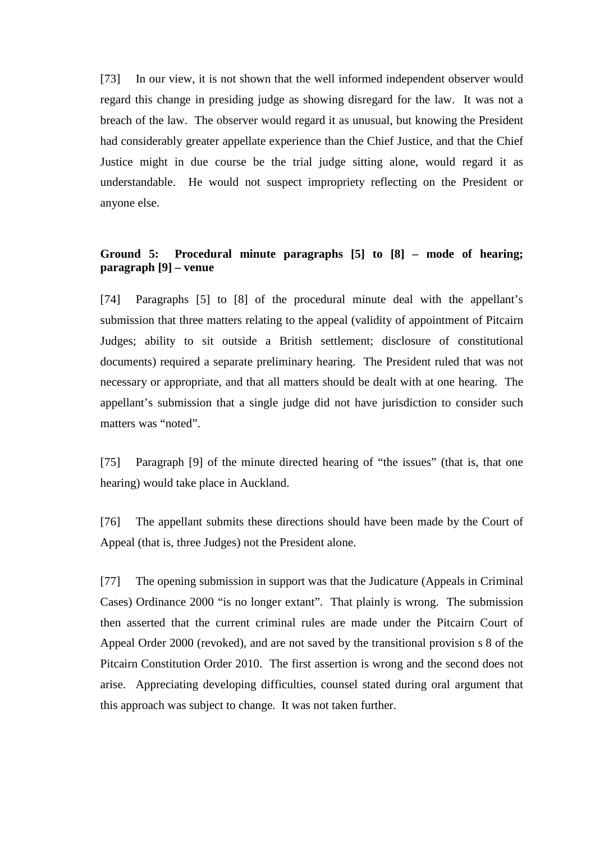[73] In our view, it is not shown that the well informed independent observer would regard this change in presiding judge as showing disregard for the law. It was not a breach of the law. The observer would regard it as unusual, but knowing the President had considerably greater appellate experience than the Chief Justice, and that the Chief Justice might in due course be the trial judge sitting alone, would regard it as understandable. He would not suspect impropriety reflecting on the President or anyone else.

# **Ground 5: Procedural minute paragraphs [5] to [8] – mode of hearing; paragraph [9] – venue**

[74] Paragraphs [5] to [8] of the procedural minute deal with the appellant's submission that three matters relating to the appeal (validity of appointment of Pitcairn Judges; ability to sit outside a British settlement; disclosure of constitutional documents) required a separate preliminary hearing. The President ruled that was not necessary or appropriate, and that all matters should be dealt with at one hearing. The appellant's submission that a single judge did not have jurisdiction to consider such matters was "noted".

[75] Paragraph [9] of the minute directed hearing of "the issues" (that is, that one hearing) would take place in Auckland.

[76] The appellant submits these directions should have been made by the Court of Appeal (that is, three Judges) not the President alone.

[77] The opening submission in support was that the Judicature (Appeals in Criminal Cases) Ordinance 2000 "is no longer extant". That plainly is wrong. The submission then asserted that the current criminal rules are made under the Pitcairn Court of Appeal Order 2000 (revoked), and are not saved by the transitional provision s 8 of the Pitcairn Constitution Order 2010. The first assertion is wrong and the second does not arise. Appreciating developing difficulties, counsel stated during oral argument that this approach was subject to change. It was not taken further.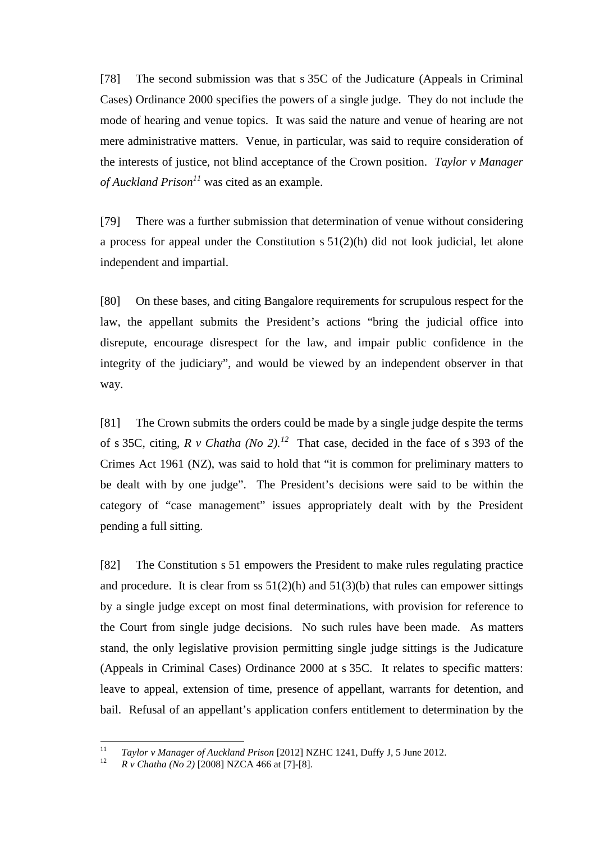[78] The second submission was that s 35C of the Judicature (Appeals in Criminal Cases) Ordinance 2000 specifies the powers of a single judge. They do not include the mode of hearing and venue topics. It was said the nature and venue of hearing are not mere administrative matters. Venue, in particular, was said to require consideration of the interests of justice, not blind acceptance of the Crown position. *Taylor v Manager of Auckland Prison<sup>11</sup>* was cited as an example.

[79] There was a further submission that determination of venue without considering a process for appeal under the Constitution s 51(2)(h) did not look judicial, let alone independent and impartial.

[80] On these bases, and citing Bangalore requirements for scrupulous respect for the law, the appellant submits the President's actions "bring the judicial office into disrepute, encourage disrespect for the law, and impair public confidence in the integrity of the judiciary", and would be viewed by an independent observer in that way.

[81] The Crown submits the orders could be made by a single judge despite the terms of s 35C, citing,  $R$  v Chatha (No 2).<sup>12</sup> That case, decided in the face of s 393 of the Crimes Act 1961 (NZ), was said to hold that "it is common for preliminary matters to be dealt with by one judge". The President's decisions were said to be within the category of "case management" issues appropriately dealt with by the President pending a full sitting.

[82] The Constitution s 51 empowers the President to make rules regulating practice and procedure. It is clear from ss  $51(2)(h)$  and  $51(3)(b)$  that rules can empower sittings by a single judge except on most final determinations, with provision for reference to the Court from single judge decisions. No such rules have been made. As matters stand, the only legislative provision permitting single judge sittings is the Judicature (Appeals in Criminal Cases) Ordinance 2000 at s 35C. It relates to specific matters: leave to appeal, extension of time, presence of appellant, warrants for detention, and bail. Refusal of an appellant's application confers entitlement to determination by the

 $\frac{1}{11}$ *Taylor v Manager of Auckland Prison* [2012] NZHC 1241, Duffy J, 5 June 2012.

<sup>12</sup> *R v Chatha (No 2)* [2008] NZCA 466 at [7]-[8].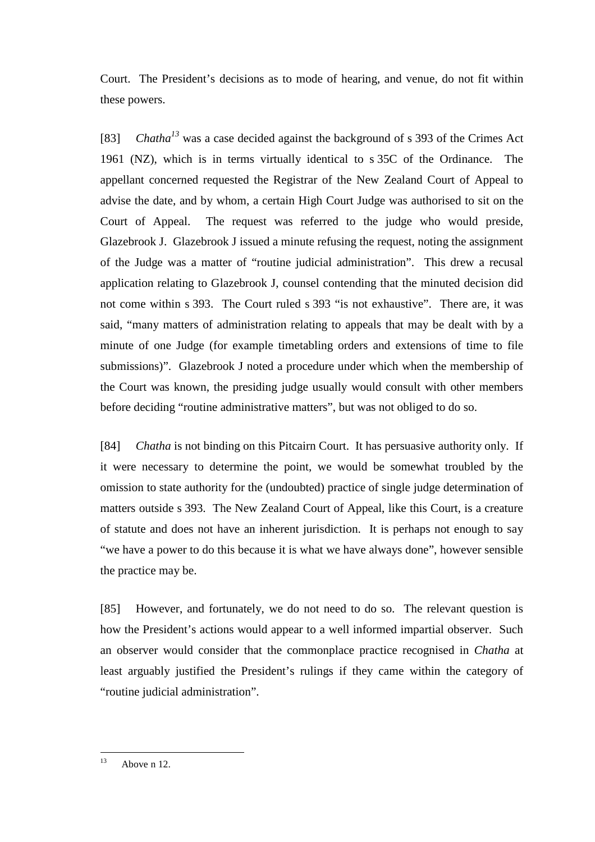Court. The President's decisions as to mode of hearing, and venue, do not fit within these powers.

[83] *Chatha*<sup>13</sup> was a case decided against the background of s 393 of the Crimes Act 1961 (NZ), which is in terms virtually identical to s 35C of the Ordinance. The appellant concerned requested the Registrar of the New Zealand Court of Appeal to advise the date, and by whom, a certain High Court Judge was authorised to sit on the Court of Appeal. The request was referred to the judge who would preside, Glazebrook J. Glazebrook J issued a minute refusing the request, noting the assignment of the Judge was a matter of "routine judicial administration". This drew a recusal application relating to Glazebrook J, counsel contending that the minuted decision did not come within s 393. The Court ruled s 393 "is not exhaustive". There are, it was said, "many matters of administration relating to appeals that may be dealt with by a minute of one Judge (for example timetabling orders and extensions of time to file submissions)". Glazebrook J noted a procedure under which when the membership of the Court was known, the presiding judge usually would consult with other members before deciding "routine administrative matters", but was not obliged to do so.

[84] *Chatha* is not binding on this Pitcairn Court. It has persuasive authority only. If it were necessary to determine the point, we would be somewhat troubled by the omission to state authority for the (undoubted) practice of single judge determination of matters outside s 393. The New Zealand Court of Appeal, like this Court, is a creature of statute and does not have an inherent jurisdiction. It is perhaps not enough to say "we have a power to do this because it is what we have always done", however sensible the practice may be.

[85] However, and fortunately, we do not need to do so. The relevant question is how the President's actions would appear to a well informed impartial observer. Such an observer would consider that the commonplace practice recognised in *Chatha* at least arguably justified the President's rulings if they came within the category of "routine judicial administration".

 $13$ Above n 12.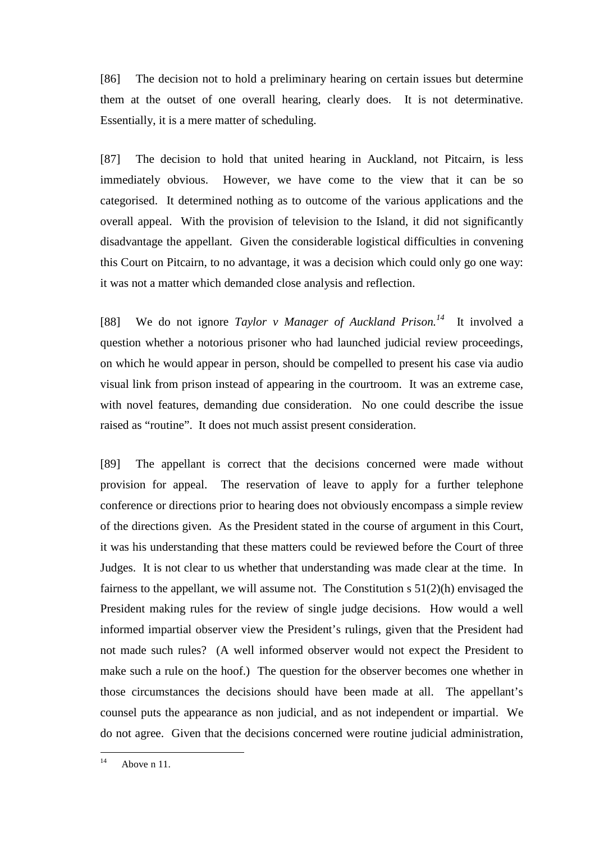[86] The decision not to hold a preliminary hearing on certain issues but determine them at the outset of one overall hearing, clearly does. It is not determinative. Essentially, it is a mere matter of scheduling.

[87] The decision to hold that united hearing in Auckland, not Pitcairn, is less immediately obvious. However, we have come to the view that it can be so categorised. It determined nothing as to outcome of the various applications and the overall appeal. With the provision of television to the Island, it did not significantly disadvantage the appellant. Given the considerable logistical difficulties in convening this Court on Pitcairn, to no advantage, it was a decision which could only go one way: it was not a matter which demanded close analysis and reflection.

[88] We do not ignore *Taylor v Manager of Auckland Prison.<sup>14</sup>* It involved a question whether a notorious prisoner who had launched judicial review proceedings, on which he would appear in person, should be compelled to present his case via audio visual link from prison instead of appearing in the courtroom. It was an extreme case, with novel features, demanding due consideration. No one could describe the issue raised as "routine". It does not much assist present consideration.

[89] The appellant is correct that the decisions concerned were made without provision for appeal. The reservation of leave to apply for a further telephone conference or directions prior to hearing does not obviously encompass a simple review of the directions given. As the President stated in the course of argument in this Court, it was his understanding that these matters could be reviewed before the Court of three Judges. It is not clear to us whether that understanding was made clear at the time. In fairness to the appellant, we will assume not. The Constitution s 51(2)(h) envisaged the President making rules for the review of single judge decisions. How would a well informed impartial observer view the President's rulings, given that the President had not made such rules? (A well informed observer would not expect the President to make such a rule on the hoof.) The question for the observer becomes one whether in those circumstances the decisions should have been made at all. The appellant's counsel puts the appearance as non judicial, and as not independent or impartial. We do not agree. Given that the decisions concerned were routine judicial administration,

 $\overline{14}$ Above n 11.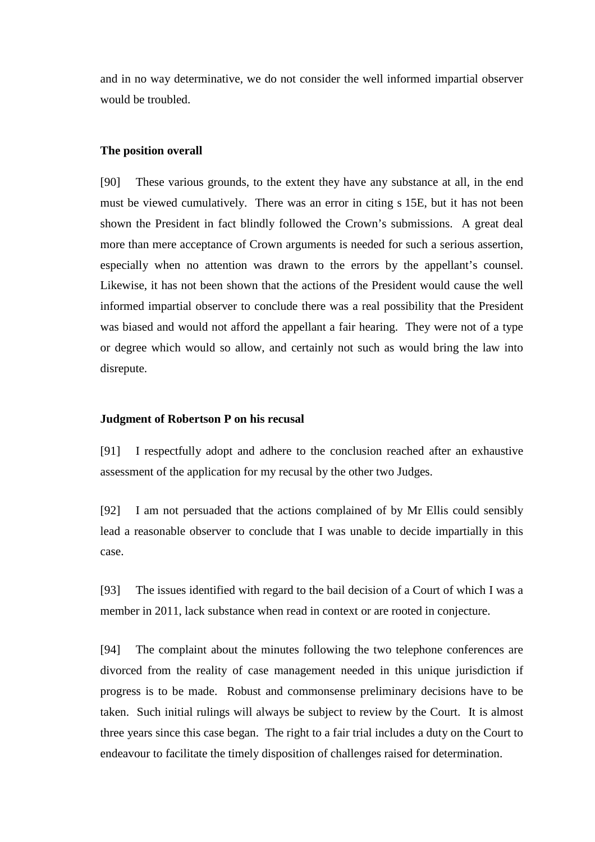and in no way determinative, we do not consider the well informed impartial observer would be troubled.

#### **The position overall**

[90] These various grounds, to the extent they have any substance at all, in the end must be viewed cumulatively. There was an error in citing s 15E, but it has not been shown the President in fact blindly followed the Crown's submissions. A great deal more than mere acceptance of Crown arguments is needed for such a serious assertion, especially when no attention was drawn to the errors by the appellant's counsel. Likewise, it has not been shown that the actions of the President would cause the well informed impartial observer to conclude there was a real possibility that the President was biased and would not afford the appellant a fair hearing. They were not of a type or degree which would so allow, and certainly not such as would bring the law into disrepute.

#### **Judgment of Robertson P on his recusal**

[91] I respectfully adopt and adhere to the conclusion reached after an exhaustive assessment of the application for my recusal by the other two Judges.

[92] I am not persuaded that the actions complained of by Mr Ellis could sensibly lead a reasonable observer to conclude that I was unable to decide impartially in this case.

[93] The issues identified with regard to the bail decision of a Court of which I was a member in 2011, lack substance when read in context or are rooted in conjecture.

[94] The complaint about the minutes following the two telephone conferences are divorced from the reality of case management needed in this unique jurisdiction if progress is to be made. Robust and commonsense preliminary decisions have to be taken. Such initial rulings will always be subject to review by the Court. It is almost three years since this case began. The right to a fair trial includes a duty on the Court to endeavour to facilitate the timely disposition of challenges raised for determination.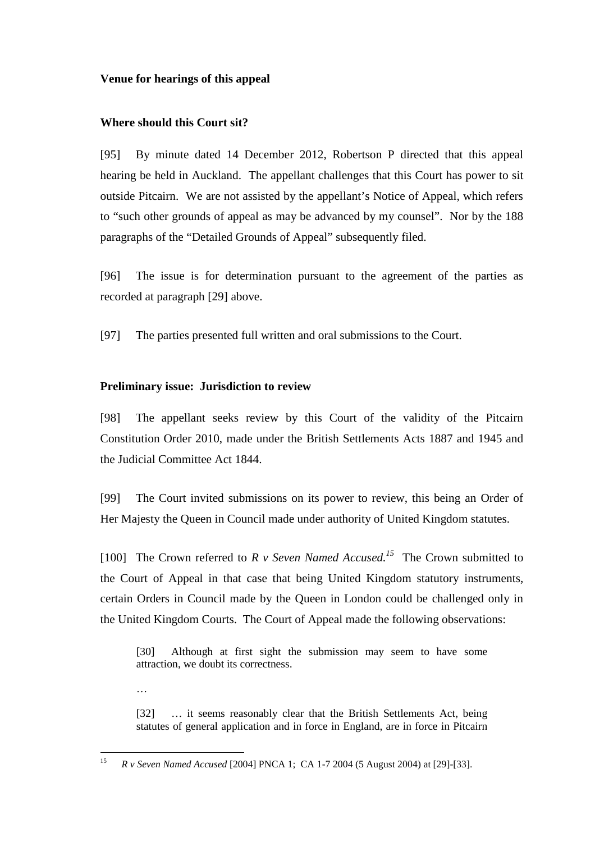### **Venue for hearings of this appeal**

### **Where should this Court sit?**

[95] By minute dated 14 December 2012, Robertson P directed that this appeal hearing be held in Auckland. The appellant challenges that this Court has power to sit outside Pitcairn. We are not assisted by the appellant's Notice of Appeal, which refers to "such other grounds of appeal as may be advanced by my counsel". Nor by the 188 paragraphs of the "Detailed Grounds of Appeal" subsequently filed.

[96] The issue is for determination pursuant to the agreement of the parties as recorded at paragraph [29] above.

[97] The parties presented full written and oral submissions to the Court.

### **Preliminary issue: Jurisdiction to review**

…

[98] The appellant seeks review by this Court of the validity of the Pitcairn Constitution Order 2010, made under the British Settlements Acts 1887 and 1945 and the Judicial Committee Act 1844.

[99] The Court invited submissions on its power to review, this being an Order of Her Majesty the Queen in Council made under authority of United Kingdom statutes.

[100] The Crown referred to  $R$  v Seven Named Accused.<sup>15</sup> The Crown submitted to the Court of Appeal in that case that being United Kingdom statutory instruments, certain Orders in Council made by the Queen in London could be challenged only in the United Kingdom Courts. The Court of Appeal made the following observations:

[30] Although at first sight the submission may seem to have some attraction, we doubt its correctness.

[32] … it seems reasonably clear that the British Settlements Act, being statutes of general application and in force in England, are in force in Pitcairn

 15 *R v Seven Named Accused* [2004] PNCA 1; CA 1-7 2004 (5 August 2004) at [29]-[33].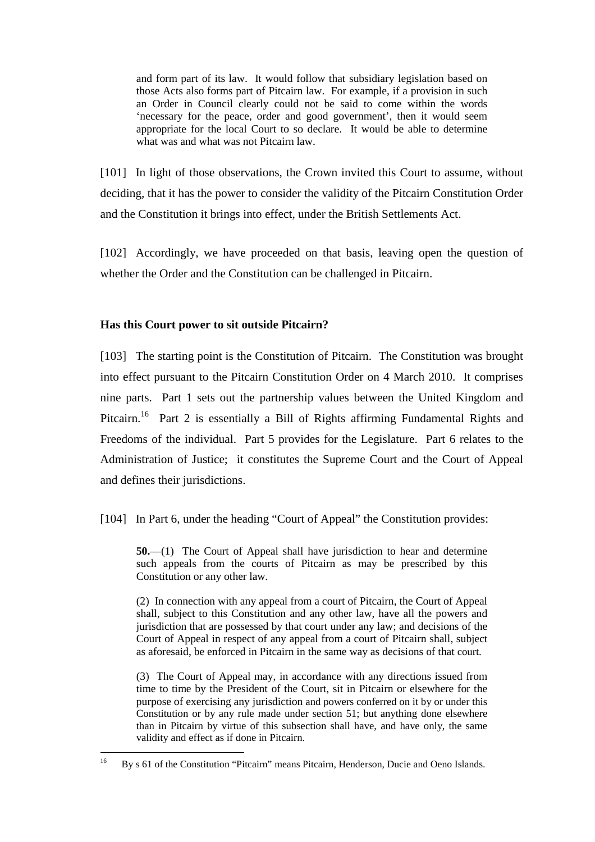and form part of its law. It would follow that subsidiary legislation based on those Acts also forms part of Pitcairn law. For example, if a provision in such an Order in Council clearly could not be said to come within the words 'necessary for the peace, order and good government', then it would seem appropriate for the local Court to so declare. It would be able to determine what was and what was not Pitcairn law.

[101] In light of those observations, the Crown invited this Court to assume, without deciding, that it has the power to consider the validity of the Pitcairn Constitution Order and the Constitution it brings into effect, under the British Settlements Act.

[102] Accordingly, we have proceeded on that basis, leaving open the question of whether the Order and the Constitution can be challenged in Pitcairn.

# **Has this Court power to sit outside Pitcairn?**

[103] The starting point is the Constitution of Pitcairn. The Constitution was brought into effect pursuant to the Pitcairn Constitution Order on 4 March 2010. It comprises nine parts. Part 1 sets out the partnership values between the United Kingdom and Pitcairn.<sup>16</sup> Part 2 is essentially a Bill of Rights affirming Fundamental Rights and Freedoms of the individual. Part 5 provides for the Legislature. Part 6 relates to the Administration of Justice; it constitutes the Supreme Court and the Court of Appeal and defines their jurisdictions.

[104] In Part 6, under the heading "Court of Appeal" the Constitution provides:

**50.**—(1) The Court of Appeal shall have jurisdiction to hear and determine such appeals from the courts of Pitcairn as may be prescribed by this Constitution or any other law.

(2) In connection with any appeal from a court of Pitcairn, the Court of Appeal shall, subject to this Constitution and any other law, have all the powers and jurisdiction that are possessed by that court under any law; and decisions of the Court of Appeal in respect of any appeal from a court of Pitcairn shall, subject as aforesaid, be enforced in Pitcairn in the same way as decisions of that court.

(3) The Court of Appeal may, in accordance with any directions issued from time to time by the President of the Court, sit in Pitcairn or elsewhere for the purpose of exercising any jurisdiction and powers conferred on it by or under this Constitution or by any rule made under section 51; but anything done elsewhere than in Pitcairn by virtue of this subsection shall have, and have only, the same validity and effect as if done in Pitcairn.

 $16$ <sup>16</sup> By s 61 of the Constitution "Pitcairn" means Pitcairn, Henderson, Ducie and Oeno Islands.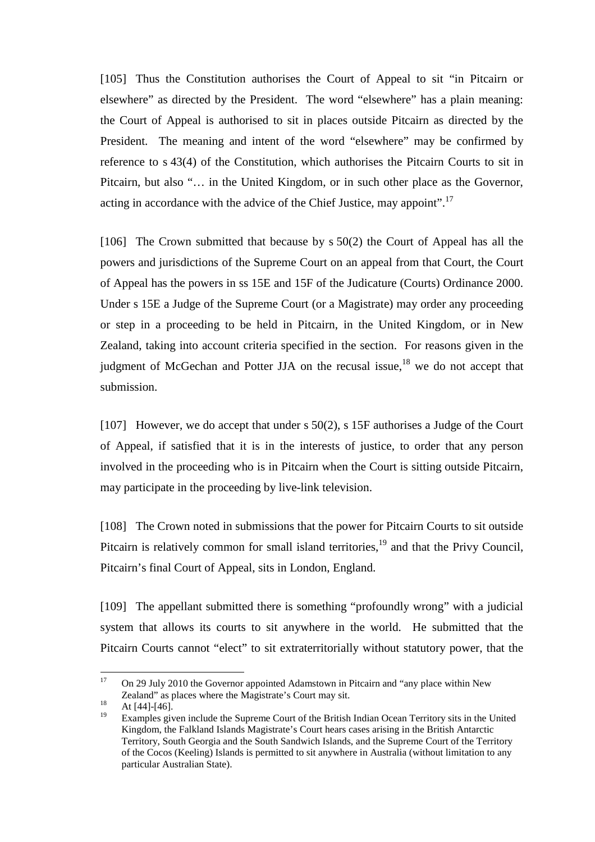[105] Thus the Constitution authorises the Court of Appeal to sit "in Pitcairn or elsewhere" as directed by the President. The word "elsewhere" has a plain meaning: the Court of Appeal is authorised to sit in places outside Pitcairn as directed by the President. The meaning and intent of the word "elsewhere" may be confirmed by reference to s 43(4) of the Constitution, which authorises the Pitcairn Courts to sit in Pitcairn, but also "… in the United Kingdom, or in such other place as the Governor, acting in accordance with the advice of the Chief Justice, may appoint".<sup>17</sup>

[106] The Crown submitted that because by s 50(2) the Court of Appeal has all the powers and jurisdictions of the Supreme Court on an appeal from that Court, the Court of Appeal has the powers in ss 15E and 15F of the Judicature (Courts) Ordinance 2000. Under s 15E a Judge of the Supreme Court (or a Magistrate) may order any proceeding or step in a proceeding to be held in Pitcairn, in the United Kingdom, or in New Zealand, taking into account criteria specified in the section. For reasons given in the judgment of McGechan and Potter JJA on the recusal issue,  $18$  we do not accept that submission.

[107] However, we do accept that under s 50(2), s 15F authorises a Judge of the Court of Appeal, if satisfied that it is in the interests of justice, to order that any person involved in the proceeding who is in Pitcairn when the Court is sitting outside Pitcairn, may participate in the proceeding by live-link television.

[108] The Crown noted in submissions that the power for Pitcairn Courts to sit outside Pitcairn is relatively common for small island territories,<sup>19</sup> and that the Privy Council, Pitcairn's final Court of Appeal, sits in London, England.

[109] The appellant submitted there is something "profoundly wrong" with a judicial system that allows its courts to sit anywhere in the world. He submitted that the Pitcairn Courts cannot "elect" to sit extraterritorially without statutory power, that the

<sup>17</sup> <sup>17</sup> On 29 July 2010 the Governor appointed Adamstown in Pitcairn and "any place within New Zealand" as places where the Magistrate's Court may sit.

 $18$  At [44]-[46].

<sup>19</sup> Examples given include the Supreme Court of the British Indian Ocean Territory sits in the United Kingdom, the Falkland Islands Magistrate's Court hears cases arising in the British Antarctic Territory, South Georgia and the South Sandwich Islands, and the Supreme Court of the Territory of the Cocos (Keeling) Islands is permitted to sit anywhere in Australia (without limitation to any particular Australian State).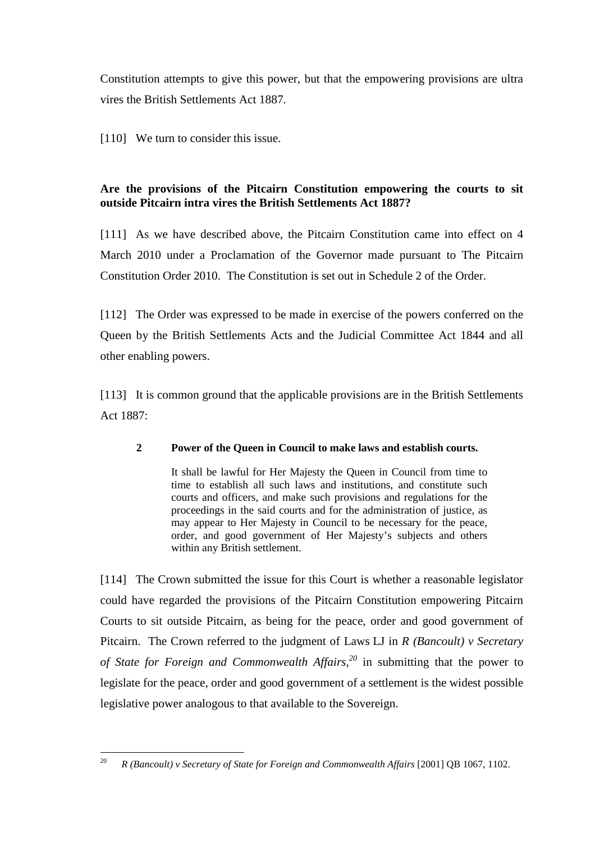Constitution attempts to give this power, but that the empowering provisions are ultra vires the British Settlements Act 1887.

[110] We turn to consider this issue.

# **Are the provisions of the Pitcairn Constitution empowering the courts to sit outside Pitcairn intra vires the British Settlements Act 1887?**

[111] As we have described above, the Pitcairn Constitution came into effect on 4 March 2010 under a Proclamation of the Governor made pursuant to The Pitcairn Constitution Order 2010. The Constitution is set out in Schedule 2 of the Order.

[112] The Order was expressed to be made in exercise of the powers conferred on the Queen by the British Settlements Acts and the Judicial Committee Act 1844 and all other enabling powers.

[113] It is common ground that the applicable provisions are in the British Settlements Act 1887:

# **2 Power of the Queen in Council to make laws and establish courts.**

It shall be lawful for Her Majesty the Queen in Council from time to time to establish all such laws and institutions, and constitute such courts and officers, and make such provisions and regulations for the proceedings in the said courts and for the administration of justice, as may appear to Her Majesty in Council to be necessary for the peace, order, and good government of Her Majesty's subjects and others within any British settlement.

[114] The Crown submitted the issue for this Court is whether a reasonable legislator could have regarded the provisions of the Pitcairn Constitution empowering Pitcairn Courts to sit outside Pitcairn, as being for the peace, order and good government of Pitcairn. The Crown referred to the judgment of Laws LJ in *R (Bancoult) v Secretary of State for Foreign and Commonwealth Affairs,<sup>20</sup>* in submitting that the power to legislate for the peace, order and good government of a settlement is the widest possible legislative power analogous to that available to the Sovereign.

<sup>&</sup>lt;sup>20</sup> *R (Bancoult) v Secretary of State for Foreign and Commonwealth Affairs* [2001] QB 1067, 1102.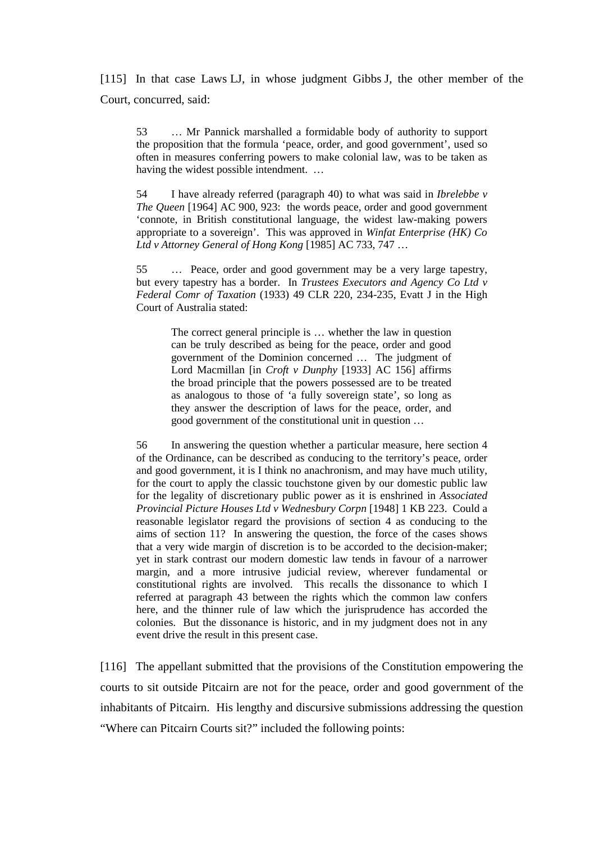[115] In that case Laws LJ, in whose judgment Gibbs J, the other member of the Court, concurred, said:

53 … Mr Pannick marshalled a formidable body of authority to support the proposition that the formula 'peace, order, and good government', used so often in measures conferring powers to make colonial law, was to be taken as having the widest possible intendment. …

54 I have already referred (paragraph 40) to what was said in *Ibrelebbe v The Queen* [1964] AC 900, 923: the words peace, order and good government 'connote, in British constitutional language, the widest law-making powers appropriate to a sovereign'. This was approved in *Winfat Enterprise (HK) Co Ltd v Attorney General of Hong Kong* [1985] AC 733, 747 …

55 … Peace, order and good government may be a very large tapestry, but every tapestry has a border. In *Trustees Executors and Agency Co Ltd v Federal Comr of Taxation* (1933) 49 CLR 220, 234-235, Evatt J in the High Court of Australia stated:

The correct general principle is … whether the law in question can be truly described as being for the peace, order and good government of the Dominion concerned … The judgment of Lord Macmillan [in *Croft v Dunphy* [1933] AC 156] affirms the broad principle that the powers possessed are to be treated as analogous to those of 'a fully sovereign state', so long as they answer the description of laws for the peace, order, and good government of the constitutional unit in question …

56 In answering the question whether a particular measure, here section 4 of the Ordinance, can be described as conducing to the territory's peace, order and good government, it is I think no anachronism, and may have much utility, for the court to apply the classic touchstone given by our domestic public law for the legality of discretionary public power as it is enshrined in *Associated Provincial Picture Houses Ltd v Wednesbury Corpn* [1948] 1 KB 223. Could a reasonable legislator regard the provisions of section 4 as conducing to the aims of section 11? In answering the question, the force of the cases shows that a very wide margin of discretion is to be accorded to the decision-maker; yet in stark contrast our modern domestic law tends in favour of a narrower margin, and a more intrusive judicial review, wherever fundamental or constitutional rights are involved. This recalls the dissonance to which I referred at paragraph 43 between the rights which the common law confers here, and the thinner rule of law which the jurisprudence has accorded the colonies. But the dissonance is historic, and in my judgment does not in any event drive the result in this present case.

[116] The appellant submitted that the provisions of the Constitution empowering the courts to sit outside Pitcairn are not for the peace, order and good government of the inhabitants of Pitcairn. His lengthy and discursive submissions addressing the question "Where can Pitcairn Courts sit?" included the following points: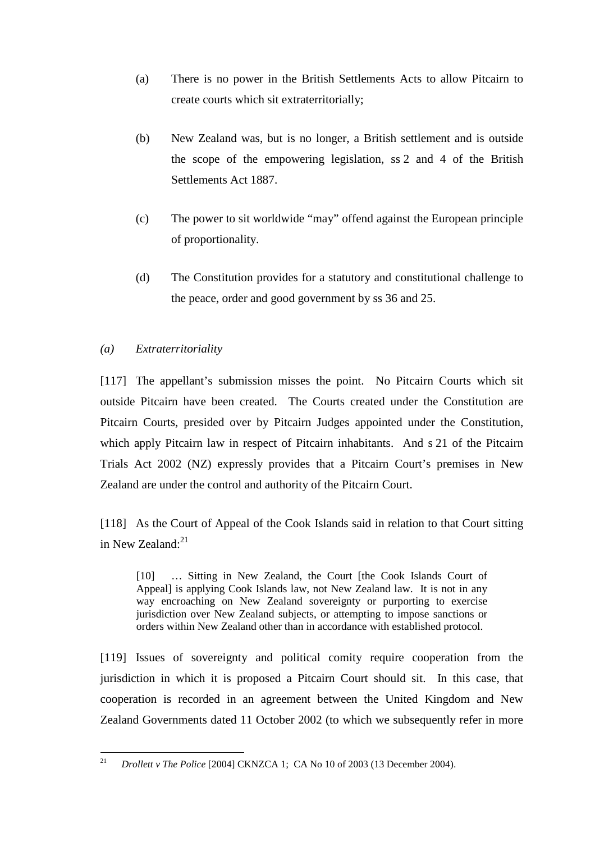- (a) There is no power in the British Settlements Acts to allow Pitcairn to create courts which sit extraterritorially;
- (b) New Zealand was, but is no longer, a British settlement and is outside the scope of the empowering legislation, ss 2 and 4 of the British Settlements Act 1887.
- (c) The power to sit worldwide "may" offend against the European principle of proportionality.
- (d) The Constitution provides for a statutory and constitutional challenge to the peace, order and good government by ss 36 and 25.

# *(a) Extraterritoriality*

[117] The appellant's submission misses the point. No Pitcairn Courts which sit outside Pitcairn have been created. The Courts created under the Constitution are Pitcairn Courts, presided over by Pitcairn Judges appointed under the Constitution, which apply Pitcairn law in respect of Pitcairn inhabitants. And s 21 of the Pitcairn Trials Act 2002 (NZ) expressly provides that a Pitcairn Court's premises in New Zealand are under the control and authority of the Pitcairn Court.

[118] As the Court of Appeal of the Cook Islands said in relation to that Court sitting in New Zealand: $21$ 

[10] … Sitting in New Zealand, the Court [the Cook Islands Court of Appeal] is applying Cook Islands law, not New Zealand law. It is not in any way encroaching on New Zealand sovereignty or purporting to exercise jurisdiction over New Zealand subjects, or attempting to impose sanctions or orders within New Zealand other than in accordance with established protocol.

[119] Issues of sovereignty and political comity require cooperation from the jurisdiction in which it is proposed a Pitcairn Court should sit. In this case, that cooperation is recorded in an agreement between the United Kingdom and New Zealand Governments dated 11 October 2002 (to which we subsequently refer in more

 21 *Drollett v The Police* [2004] CKNZCA 1; CA No 10 of 2003 (13 December 2004).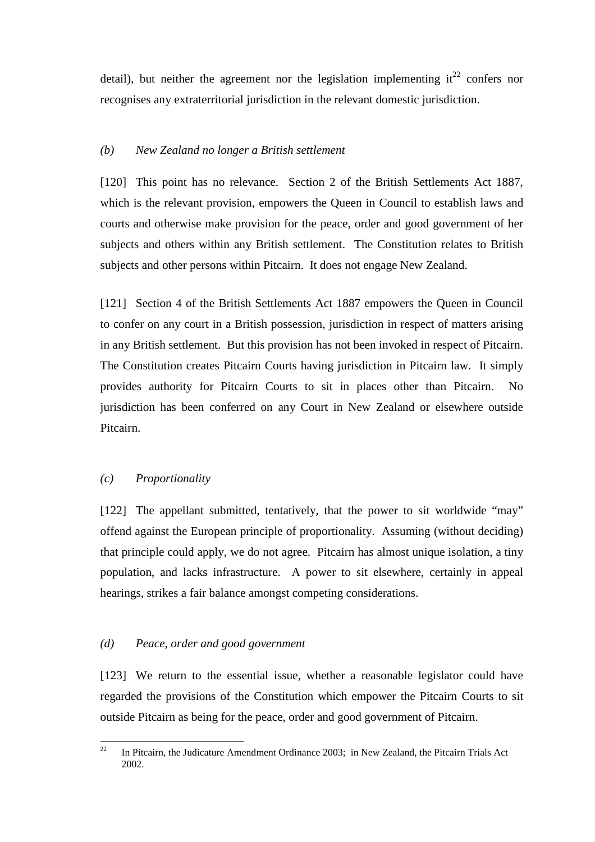detail), but neither the agreement nor the legislation implementing  $it^{22}$  confers nor recognises any extraterritorial jurisdiction in the relevant domestic jurisdiction.

### *(b) New Zealand no longer a British settlement*

[120] This point has no relevance. Section 2 of the British Settlements Act 1887, which is the relevant provision, empowers the Queen in Council to establish laws and courts and otherwise make provision for the peace, order and good government of her subjects and others within any British settlement. The Constitution relates to British subjects and other persons within Pitcairn. It does not engage New Zealand.

[121] Section 4 of the British Settlements Act 1887 empowers the Queen in Council to confer on any court in a British possession, jurisdiction in respect of matters arising in any British settlement. But this provision has not been invoked in respect of Pitcairn. The Constitution creates Pitcairn Courts having jurisdiction in Pitcairn law. It simply provides authority for Pitcairn Courts to sit in places other than Pitcairn. No jurisdiction has been conferred on any Court in New Zealand or elsewhere outside Pitcairn.

### *(c) Proportionality*

[122] The appellant submitted, tentatively, that the power to sit worldwide "may" offend against the European principle of proportionality. Assuming (without deciding) that principle could apply, we do not agree. Pitcairn has almost unique isolation, a tiny population, and lacks infrastructure. A power to sit elsewhere, certainly in appeal hearings, strikes a fair balance amongst competing considerations.

### *(d) Peace, order and good government*

[123] We return to the essential issue, whether a reasonable legislator could have regarded the provisions of the Constitution which empower the Pitcairn Courts to sit outside Pitcairn as being for the peace, order and good government of Pitcairn.

 $22$ <sup>22</sup> In Pitcairn, the Judicature Amendment Ordinance 2003; in New Zealand, the Pitcairn Trials Act 2002.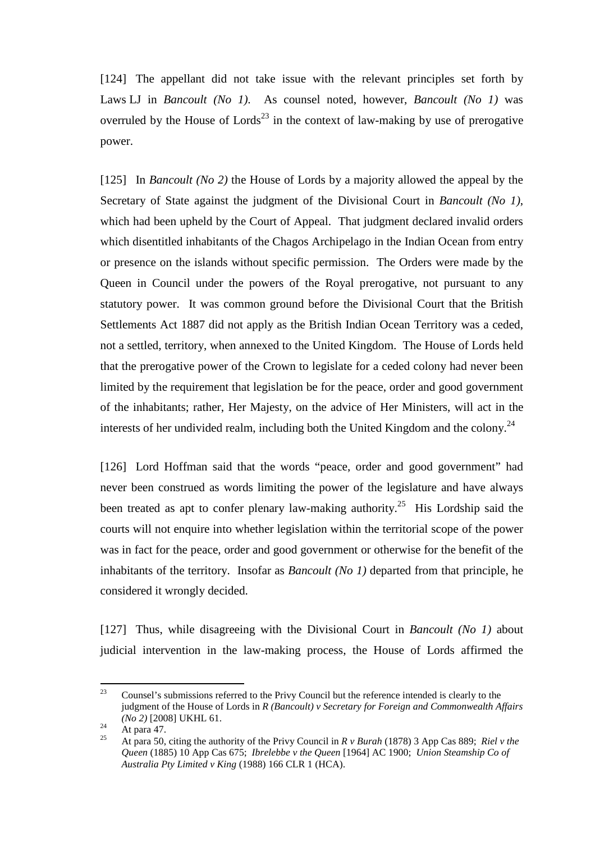[124] The appellant did not take issue with the relevant principles set forth by Laws LJ in *Bancoult (No 1)*. As counsel noted, however, *Bancoult (No 1)* was overruled by the House of Lords<sup>23</sup> in the context of law-making by use of prerogative power.

[125] In *Bancoult (No 2)* the House of Lords by a majority allowed the appeal by the Secretary of State against the judgment of the Divisional Court in *Bancoult (No 1)*, which had been upheld by the Court of Appeal. That judgment declared invalid orders which disentitled inhabitants of the Chagos Archipelago in the Indian Ocean from entry or presence on the islands without specific permission. The Orders were made by the Queen in Council under the powers of the Royal prerogative, not pursuant to any statutory power. It was common ground before the Divisional Court that the British Settlements Act 1887 did not apply as the British Indian Ocean Territory was a ceded, not a settled, territory, when annexed to the United Kingdom. The House of Lords held that the prerogative power of the Crown to legislate for a ceded colony had never been limited by the requirement that legislation be for the peace, order and good government of the inhabitants; rather, Her Majesty, on the advice of Her Ministers, will act in the interests of her undivided realm, including both the United Kingdom and the colony.<sup>24</sup>

[126] Lord Hoffman said that the words "peace, order and good government" had never been construed as words limiting the power of the legislature and have always been treated as apt to confer plenary law-making authority.<sup>25</sup> His Lordship said the courts will not enquire into whether legislation within the territorial scope of the power was in fact for the peace, order and good government or otherwise for the benefit of the inhabitants of the territory. Insofar as *Bancoult (No 1)* departed from that principle, he considered it wrongly decided.

[127] Thus, while disagreeing with the Divisional Court in *Bancoult (No 1)* about judicial intervention in the law-making process, the House of Lords affirmed the

<sup>23</sup> <sup>23</sup> Counsel's submissions referred to the Privy Council but the reference intended is clearly to the judgment of the House of Lords in *R (Bancoult) v Secretary for Foreign and Commonwealth Affairs (No 2)* [2008] UKHL 61.

<sup>&</sup>lt;sup>24</sup> At para 47.

<sup>25</sup> At para 50, citing the authority of the Privy Council in *R v Burah* (1878) 3 App Cas 889; *Riel v the Queen* (1885) 10 App Cas 675; *Ibrelebbe v the Queen* [1964] AC 1900; *Union Steamship Co of Australia Pty Limited v King* (1988) 166 CLR 1 (HCA).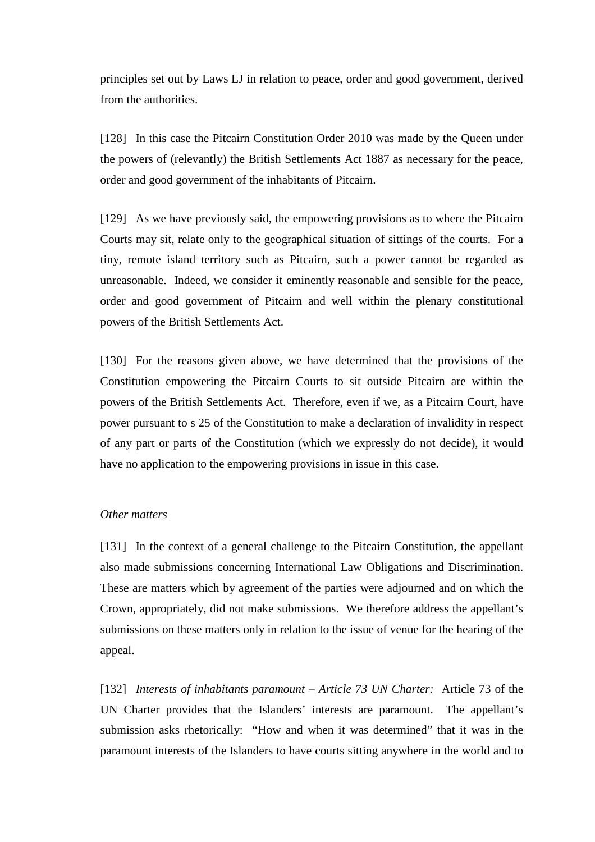principles set out by Laws LJ in relation to peace, order and good government, derived from the authorities.

[128] In this case the Pitcairn Constitution Order 2010 was made by the Oueen under the powers of (relevantly) the British Settlements Act 1887 as necessary for the peace, order and good government of the inhabitants of Pitcairn.

[129] As we have previously said, the empowering provisions as to where the Pitcairn Courts may sit, relate only to the geographical situation of sittings of the courts. For a tiny, remote island territory such as Pitcairn, such a power cannot be regarded as unreasonable. Indeed, we consider it eminently reasonable and sensible for the peace, order and good government of Pitcairn and well within the plenary constitutional powers of the British Settlements Act.

[130] For the reasons given above, we have determined that the provisions of the Constitution empowering the Pitcairn Courts to sit outside Pitcairn are within the powers of the British Settlements Act. Therefore, even if we, as a Pitcairn Court, have power pursuant to s 25 of the Constitution to make a declaration of invalidity in respect of any part or parts of the Constitution (which we expressly do not decide), it would have no application to the empowering provisions in issue in this case.

### *Other matters*

[131] In the context of a general challenge to the Pitcairn Constitution, the appellant also made submissions concerning International Law Obligations and Discrimination. These are matters which by agreement of the parties were adjourned and on which the Crown, appropriately, did not make submissions. We therefore address the appellant's submissions on these matters only in relation to the issue of venue for the hearing of the appeal.

[132] *Interests of inhabitants paramount – Article 73 UN Charter:* Article 73 of the UN Charter provides that the Islanders' interests are paramount. The appellant's submission asks rhetorically: "How and when it was determined" that it was in the paramount interests of the Islanders to have courts sitting anywhere in the world and to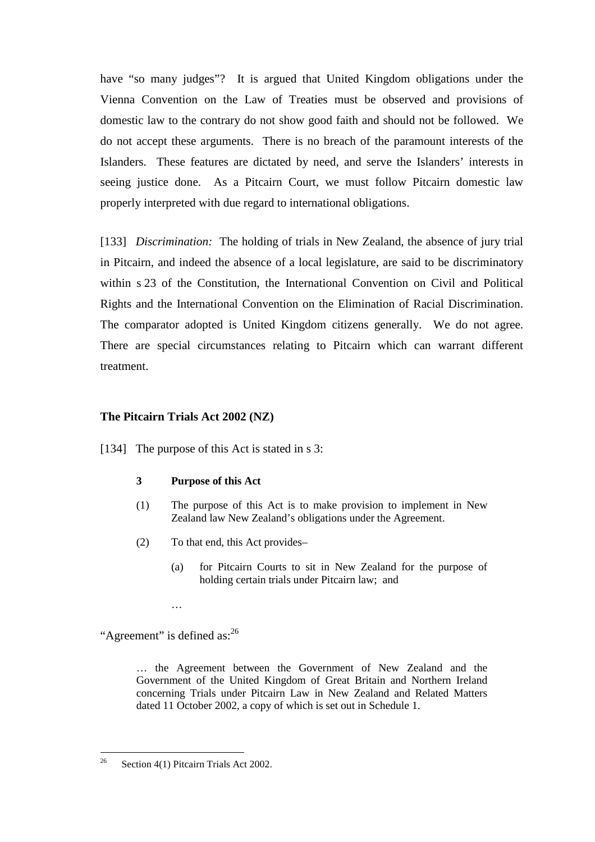have "so many judges"? It is argued that United Kingdom obligations under the Vienna Convention on the Law of Treaties must be observed and provisions of domestic law to the contrary do not show good faith and should not be followed. We do not accept these arguments. There is no breach of the paramount interests of the Islanders. These features are dictated by need, and serve the Islanders' interests in seeing justice done. As a Pitcairn Court, we must follow Pitcairn domestic law properly interpreted with due regard to international obligations.

[133] *Discrimination:* The holding of trials in New Zealand, the absence of jury trial in Pitcairn, and indeed the absence of a local legislature, are said to be discriminatory within s 23 of the Constitution, the International Convention on Civil and Political Rights and the International Convention on the Elimination of Racial Discrimination. The comparator adopted is United Kingdom citizens generally. We do not agree. There are special circumstances relating to Pitcairn which can warrant different treatment.

### **The Pitcairn Trials Act 2002 (NZ)**

[134] The purpose of this Act is stated in s 3:

#### **3 Purpose of this Act**

- (1) The purpose of this Act is to make provision to implement in New Zealand law New Zealand's obligations under the Agreement.
- (2) To that end, this Act provides–
	- (a) for Pitcairn Courts to sit in New Zealand for the purpose of holding certain trials under Pitcairn law; and
	- …

"Agreement" is defined as:<sup>26</sup>

… the Agreement between the Government of New Zealand and the Government of the United Kingdom of Great Britain and Northern Ireland concerning Trials under Pitcairn Law in New Zealand and Related Matters dated 11 October 2002, a copy of which is set out in Schedule 1.

<sup>26</sup> Section 4(1) Pitcairn Trials Act 2002.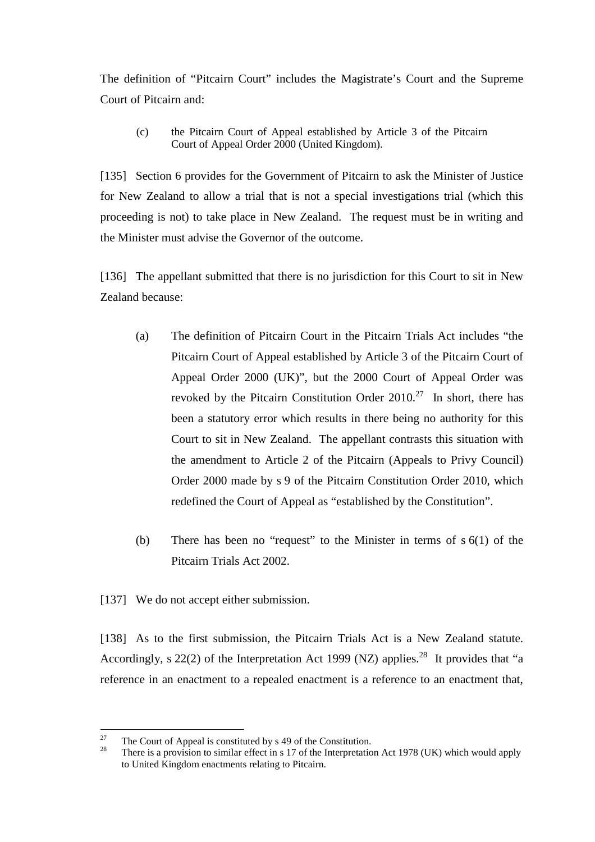The definition of "Pitcairn Court" includes the Magistrate's Court and the Supreme Court of Pitcairn and:

(c) the Pitcairn Court of Appeal established by Article 3 of the Pitcairn Court of Appeal Order 2000 (United Kingdom).

[135] Section 6 provides for the Government of Pitcairn to ask the Minister of Justice for New Zealand to allow a trial that is not a special investigations trial (which this proceeding is not) to take place in New Zealand. The request must be in writing and the Minister must advise the Governor of the outcome.

[136] The appellant submitted that there is no jurisdiction for this Court to sit in New Zealand because:

- (a) The definition of Pitcairn Court in the Pitcairn Trials Act includes "the Pitcairn Court of Appeal established by Article 3 of the Pitcairn Court of Appeal Order 2000 (UK)", but the 2000 Court of Appeal Order was revoked by the Pitcairn Constitution Order  $2010<sup>27</sup>$  In short, there has been a statutory error which results in there being no authority for this Court to sit in New Zealand. The appellant contrasts this situation with the amendment to Article 2 of the Pitcairn (Appeals to Privy Council) Order 2000 made by s 9 of the Pitcairn Constitution Order 2010, which redefined the Court of Appeal as "established by the Constitution".
- (b) There has been no "request" to the Minister in terms of s 6(1) of the Pitcairn Trials Act 2002.
- [137] We do not accept either submission.

[138] As to the first submission, the Pitcairn Trials Act is a New Zealand statute. Accordingly, s 22(2) of the Interpretation Act 1999 (NZ) applies.<sup>28</sup> It provides that "a reference in an enactment to a repealed enactment is a reference to an enactment that,

<sup>27</sup> <sup>27</sup> The Court of Appeal is constituted by s 49 of the Constitution.

<sup>28</sup> There is a provision to similar effect in s 17 of the Interpretation Act 1978 (UK) which would apply to United Kingdom enactments relating to Pitcairn.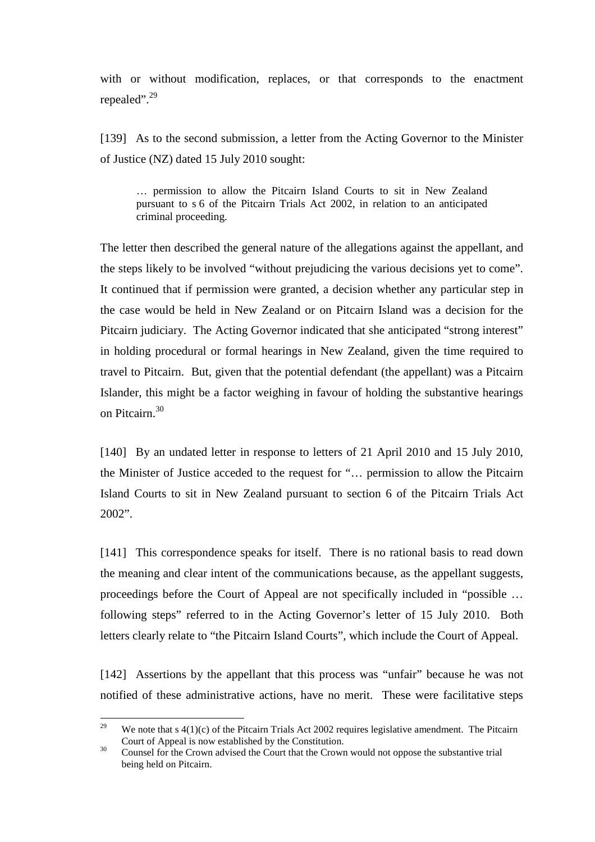with or without modification, replaces, or that corresponds to the enactment repealed".<sup>29</sup>

[139] As to the second submission, a letter from the Acting Governor to the Minister of Justice (NZ) dated 15 July 2010 sought:

… permission to allow the Pitcairn Island Courts to sit in New Zealand pursuant to s 6 of the Pitcairn Trials Act 2002, in relation to an anticipated criminal proceeding.

The letter then described the general nature of the allegations against the appellant, and the steps likely to be involved "without prejudicing the various decisions yet to come". It continued that if permission were granted, a decision whether any particular step in the case would be held in New Zealand or on Pitcairn Island was a decision for the Pitcairn judiciary. The Acting Governor indicated that she anticipated "strong interest" in holding procedural or formal hearings in New Zealand, given the time required to travel to Pitcairn. But, given that the potential defendant (the appellant) was a Pitcairn Islander, this might be a factor weighing in favour of holding the substantive hearings on Pitcairn.<sup>30</sup>

[140] By an undated letter in response to letters of 21 April 2010 and 15 July 2010, the Minister of Justice acceded to the request for "… permission to allow the Pitcairn Island Courts to sit in New Zealand pursuant to section 6 of the Pitcairn Trials Act 2002".

[141] This correspondence speaks for itself. There is no rational basis to read down the meaning and clear intent of the communications because, as the appellant suggests, proceedings before the Court of Appeal are not specifically included in "possible … following steps" referred to in the Acting Governor's letter of 15 July 2010. Both letters clearly relate to "the Pitcairn Island Courts", which include the Court of Appeal.

[142] Assertions by the appellant that this process was "unfair" because he was not notified of these administrative actions, have no merit. These were facilitative steps

 $\gamma$ <sup>Q</sup> We note that  $s(1)(c)$  of the Pitcairn Trials Act 2002 requires legislative amendment. The Pitcairn Court of Appeal is now established by the Constitution.

<sup>&</sup>lt;sup>30</sup> Counsel for the Crown advised the Court that the Crown would not oppose the substantive trial being held on Pitcairn.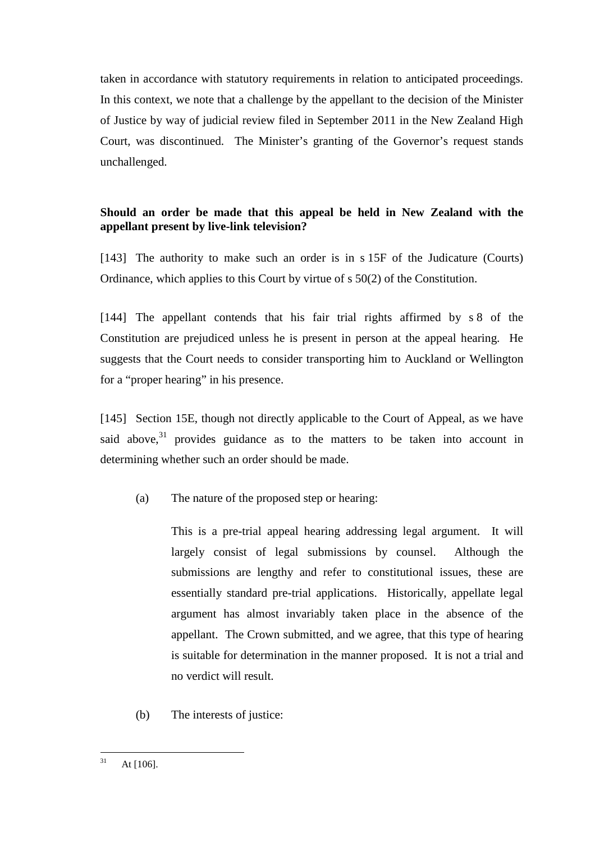taken in accordance with statutory requirements in relation to anticipated proceedings. In this context, we note that a challenge by the appellant to the decision of the Minister of Justice by way of judicial review filed in September 2011 in the New Zealand High Court, was discontinued. The Minister's granting of the Governor's request stands unchallenged.

# **Should an order be made that this appeal be held in New Zealand with the appellant present by live-link television?**

[143] The authority to make such an order is in s 15F of the Judicature (Courts) Ordinance, which applies to this Court by virtue of s 50(2) of the Constitution.

[144] The appellant contends that his fair trial rights affirmed by s 8 of the Constitution are prejudiced unless he is present in person at the appeal hearing. He suggests that the Court needs to consider transporting him to Auckland or Wellington for a "proper hearing" in his presence.

[145] Section 15E, though not directly applicable to the Court of Appeal, as we have said above, $31$  provides guidance as to the matters to be taken into account in determining whether such an order should be made.

(a) The nature of the proposed step or hearing:

This is a pre-trial appeal hearing addressing legal argument. It will largely consist of legal submissions by counsel. Although the submissions are lengthy and refer to constitutional issues, these are essentially standard pre-trial applications. Historically, appellate legal argument has almost invariably taken place in the absence of the appellant. The Crown submitted, and we agree, that this type of hearing is suitable for determination in the manner proposed. It is not a trial and no verdict will result.

(b) The interests of justice:

 $31$ At [106].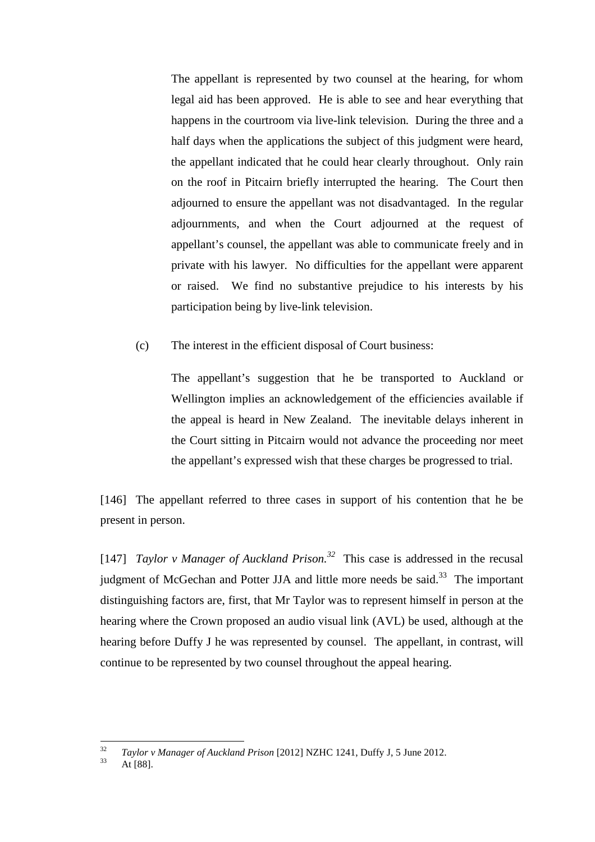The appellant is represented by two counsel at the hearing, for whom legal aid has been approved. He is able to see and hear everything that happens in the courtroom via live-link television. During the three and a half days when the applications the subject of this judgment were heard, the appellant indicated that he could hear clearly throughout. Only rain on the roof in Pitcairn briefly interrupted the hearing. The Court then adjourned to ensure the appellant was not disadvantaged. In the regular adjournments, and when the Court adjourned at the request of appellant's counsel, the appellant was able to communicate freely and in private with his lawyer. No difficulties for the appellant were apparent or raised. We find no substantive prejudice to his interests by his participation being by live-link television.

(c) The interest in the efficient disposal of Court business:

The appellant's suggestion that he be transported to Auckland or Wellington implies an acknowledgement of the efficiencies available if the appeal is heard in New Zealand. The inevitable delays inherent in the Court sitting in Pitcairn would not advance the proceeding nor meet the appellant's expressed wish that these charges be progressed to trial.

[146] The appellant referred to three cases in support of his contention that he be present in person.

[147] *Taylor v Manager of Auckland Prison.<sup>32</sup>* This case is addressed in the recusal judgment of McGechan and Potter JJA and little more needs be said.<sup>33</sup> The important distinguishing factors are, first, that Mr Taylor was to represent himself in person at the hearing where the Crown proposed an audio visual link (AVL) be used, although at the hearing before Duffy J he was represented by counsel. The appellant, in contrast, will continue to be represented by two counsel throughout the appeal hearing.

 $\frac{1}{32}$ *Taylor v Manager of Auckland Prison* [2012] NZHC 1241, Duffy J, 5 June 2012.

 $33$  At [88].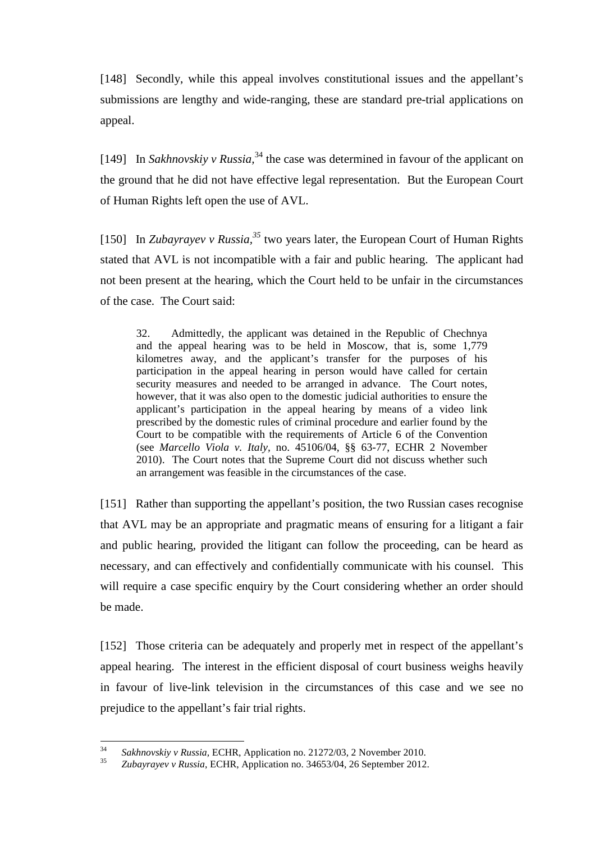[148] Secondly, while this appeal involves constitutional issues and the appellant's submissions are lengthy and wide-ranging, these are standard pre-trial applications on appeal.

[149] In *Sakhnovskiy v Russia*,<sup>34</sup> the case was determined in favour of the applicant on the ground that he did not have effective legal representation. But the European Court of Human Rights left open the use of AVL.

[150] In *Zubayrayev v Russia,<sup>35</sup>* two years later, the European Court of Human Rights stated that AVL is not incompatible with a fair and public hearing. The applicant had not been present at the hearing, which the Court held to be unfair in the circumstances of the case. The Court said:

32. Admittedly, the applicant was detained in the Republic of Chechnya and the appeal hearing was to be held in Moscow, that is, some 1,779 kilometres away, and the applicant's transfer for the purposes of his participation in the appeal hearing in person would have called for certain security measures and needed to be arranged in advance. The Court notes, however, that it was also open to the domestic judicial authorities to ensure the applicant's participation in the appeal hearing by means of a video link prescribed by the domestic rules of criminal procedure and earlier found by the Court to be compatible with the requirements of Article 6 of the Convention (see *Marcello Viola v. Italy,* no. 45106/04, §§ 63-77, ECHR 2 November 2010). The Court notes that the Supreme Court did not discuss whether such an arrangement was feasible in the circumstances of the case.

[151] Rather than supporting the appellant's position, the two Russian cases recognise that AVL may be an appropriate and pragmatic means of ensuring for a litigant a fair and public hearing, provided the litigant can follow the proceeding, can be heard as necessary, and can effectively and confidentially communicate with his counsel. This will require a case specific enquiry by the Court considering whether an order should be made.

[152] Those criteria can be adequately and properly met in respect of the appellant's appeal hearing. The interest in the efficient disposal of court business weighs heavily in favour of live-link television in the circumstances of this case and we see no prejudice to the appellant's fair trial rights.

 34 *Sakhnovskiy v Russia,* ECHR, Application no. 21272/03, 2 November 2010.

<sup>35</sup> *Zubayrayev v Russia*, ECHR, Application no. 34653/04, 26 September 2012.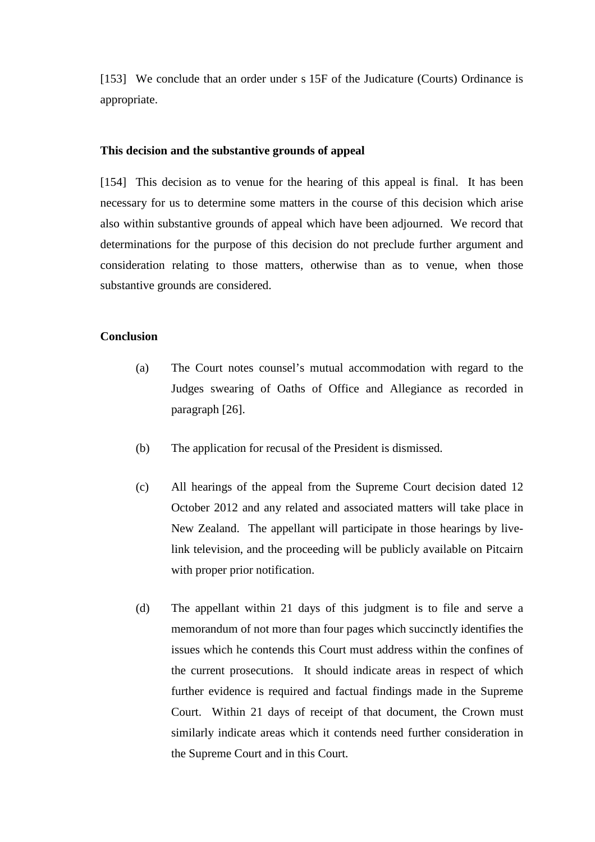[153] We conclude that an order under s 15F of the Judicature (Courts) Ordinance is appropriate.

#### **This decision and the substantive grounds of appeal**

[154] This decision as to venue for the hearing of this appeal is final. It has been necessary for us to determine some matters in the course of this decision which arise also within substantive grounds of appeal which have been adjourned. We record that determinations for the purpose of this decision do not preclude further argument and consideration relating to those matters, otherwise than as to venue, when those substantive grounds are considered.

#### **Conclusion**

- (a) The Court notes counsel's mutual accommodation with regard to the Judges swearing of Oaths of Office and Allegiance as recorded in paragraph [26].
- (b) The application for recusal of the President is dismissed.
- (c) All hearings of the appeal from the Supreme Court decision dated 12 October 2012 and any related and associated matters will take place in New Zealand. The appellant will participate in those hearings by livelink television, and the proceeding will be publicly available on Pitcairn with proper prior notification.
- (d) The appellant within 21 days of this judgment is to file and serve a memorandum of not more than four pages which succinctly identifies the issues which he contends this Court must address within the confines of the current prosecutions. It should indicate areas in respect of which further evidence is required and factual findings made in the Supreme Court. Within 21 days of receipt of that document, the Crown must similarly indicate areas which it contends need further consideration in the Supreme Court and in this Court.